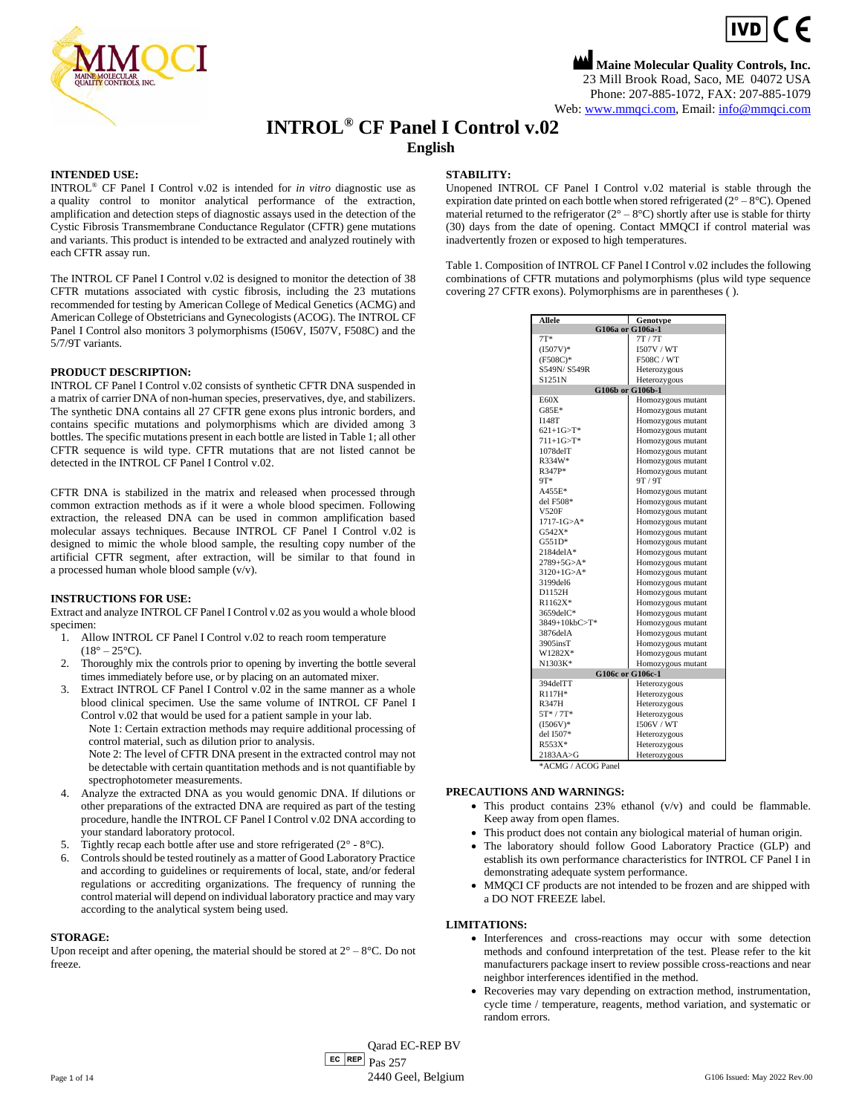

**Maine Molecular Quality Controls, Inc.** 23 Mill Brook Road, Saco, ME 04072 USA Phone: 207-885-1072, FAX: 207-885-1079 Web[: www.mmqci.com,](file://///FS1/Common/Company/CE%20Marking/G106ac/Translation/Translation%20Recieved%200.5.12.2022/www.mmqci.com) Email: [info@mmqci.com](mailto:info@mmqci.com)

 $IVD$   $C$   $E$ 

# **INTROL® CF Panel I Control v.02**

**English**

#### **INTENDED USE:**

INTROL® CF Panel I Control v.02 is intended for *in vitro* diagnostic use as a quality control to monitor analytical performance of the extraction, amplification and detection steps of diagnostic assays used in the detection of the Cystic Fibrosis Transmembrane Conductance Regulator (CFTR) gene mutations and variants. This product is intended to be extracted and analyzed routinely with each CFTR assay run.

The INTROL CF Panel I Control v.02 is designed to monitor the detection of 38 CFTR mutations associated with cystic fibrosis, including the 23 mutations recommended for testing by American College of Medical Genetics (ACMG) and American College of Obstetricians and Gynecologists (ACOG). The INTROL CF Panel I Control also monitors 3 polymorphisms (I506V, I507V, F508C) and the 5/7/9T variants.

#### **PRODUCT DESCRIPTION:**

INTROL CF Panel I Control v.02 consists of synthetic CFTR DNA suspended in a matrix of carrier DNA of non-human species, preservatives, dye, and stabilizers. The synthetic DNA contains all 27 CFTR gene exons plus intronic borders, and contains specific mutations and polymorphisms which are divided among 3 bottles. The specific mutations present in each bottle are listed in Table 1; all other CFTR sequence is wild type. CFTR mutations that are not listed cannot be detected in the INTROL CF Panel I Control v.02.

CFTR DNA is stabilized in the matrix and released when processed through common extraction methods as if it were a whole blood specimen. Following extraction, the released DNA can be used in common amplification based molecular assays techniques. Because INTROL CF Panel I Control v.02 is designed to mimic the whole blood sample, the resulting copy number of the artificial CFTR segment, after extraction, will be similar to that found in a processed human whole blood sample (v/v).

#### **INSTRUCTIONS FOR USE:**

Extract and analyze INTROL CF Panel I Control v.02 as you would a whole blood specimen:

- 1. Allow INTROL CF Panel I Control v.02 to reach room temperature  $(18^{\circ} - 25^{\circ}C)$ .
- 2. Thoroughly mix the controls prior to opening by inverting the bottle several times immediately before use, or by placing on an automated mixer.
- 3. Extract INTROL CF Panel I Control v.02 in the same manner as a whole blood clinical specimen. Use the same volume of INTROL CF Panel I Control v.02 that would be used for a patient sample in your lab.

Note 1: Certain extraction methods may require additional processing of control material, such as dilution prior to analysis.

Note 2: The level of CFTR DNA present in the extracted control may not be detectable with certain quantitation methods and is not quantifiable by spectrophotometer measurements.

- 4. Analyze the extracted DNA as you would genomic DNA. If dilutions or other preparations of the extracted DNA are required as part of the testing procedure, handle the INTROL CF Panel I Control v.02 DNA according to your standard laboratory protocol.
- 5. Tightly recap each bottle after use and store refrigerated  $(2^{\circ} 8^{\circ}C)$ .
- 6. Controls should be tested routinely as a matter of Good Laboratory Practice and according to guidelines or requirements of local, state, and/or federal regulations or accrediting organizations. The frequency of running the control material will depend on individual laboratory practice and may vary according to the analytical system being used.

#### **STORAGE:**

Upon receipt and after opening, the material should be stored at  $2^{\circ} - 8^{\circ}C$ . Do not freeze.

### **STABILITY:**

Unopened INTROL CF Panel I Control v.02 material is stable through the expiration date printed on each bottle when stored refrigerated  $(2^{\circ} - 8^{\circ}C)$ . Opened material returned to the refrigerator  $(2^{\circ} - 8^{\circ}C)$  shortly after use is stable for thirty (30) days from the date of opening. Contact MMQCI if control material was inadvertently frozen or exposed to high temperatures.

Table 1. Composition of INTROL CF Panel I Control v.02 includes the following combinations of CFTR mutations and polymorphisms (plus wild type sequence covering 27 CFTR exons). Polymorphisms are in parentheses ( ).

| Allele                 | <b>T</b> Genotype |
|------------------------|-------------------|
| G106a or G106a-1       |                   |
| $7T*$                  | 7T/7T             |
| $(I507V)^*$            | 1507V / WT        |
| $(F508C)^*$            | F508C / WT        |
| S549N/S549R            | Heterozygous      |
| S1251N                 | Heterozygous      |
| G106b or G106b-1       |                   |
| E60X                   | Homozygous mutant |
| $G85E*$                | Homozygous mutant |
| <b>I148T</b>           | Homozygous mutant |
| $621+1G > T^*$         | Homozygous mutant |
| $711+1G > T*$          | Homozygous mutant |
| $1078$ del $T$         | Homozygous mutant |
| R334W*                 | Homozygous mutant |
| R347P*                 | Homozygous mutant |
| 9T*                    | 9T/9T             |
| A455E*                 | Homozygous mutant |
| del F508*              | Homozygous mutant |
| <b>V520F</b>           | Homozygous mutant |
| $1717 - 1G > A^*$      | Homozygous mutant |
| $G542X*$               | Homozygous mutant |
| $G551D*$               | Homozygous mutant |
| $2184$ del $A*$        | Homozygous mutant |
| $2789 + 5G > A^*$      | Homozygous mutant |
| $3120+1G > A^*$        | Homozygous mutant |
| 3199del6               | Homozygous mutant |
| D1152H                 | Homozygous mutant |
| R1162X*                | Homozygous mutant |
| 3659delC*              | Homozygous mutant |
| $3849+10kbC>T*$        | Homozygous mutant |
| 3876delA               | Homozygous mutant |
| $3905$ ins $T$         | Homozygous mutant |
| W1282X*                | Homozygous mutant |
| N1303K*                | Homozygous mutant |
| G106c or G106c-1       |                   |
| 394delTT               | Heterozygous      |
| R117H*                 | Heterozygous      |
| <b>R347H</b>           | Heterozygous      |
| $5T*/7T*$              | Heterozygous      |
| $(I506V)^*$            | 1506V / WT        |
| del I507*              | Heterozygous      |
| R553X*                 | Heterozygous      |
| $2183AA \rightarrow G$ | Heterozygous      |

\*ACMG / ACOG Panel

#### **PRECAUTIONS AND WARNINGS:**

- This product contains 23% ethanol (v/v) and could be flammable. Keep away from open flames.
- This product does not contain any biological material of human origin.
- The laboratory should follow Good Laboratory Practice (GLP) and establish its own performance characteristics for INTROL CF Panel I in demonstrating adequate system performance.
- MMQCI CF products are not intended to be frozen and are shipped with a DO NOT FREEZE label.

#### **LIMITATIONS:**

- Interferences and cross-reactions may occur with some detection methods and confound interpretation of the test. Please refer to the kit manufacturers package insert to review possible cross-reactions and near neighbor interferences identified in the method.
- Recoveries may vary depending on extraction method, instrumentation, cycle time / temperature, reagents, method variation, and systematic or random errors.

 $E<sub>C</sub>$  REP  $Pas 257$ Qarad EC-REP BV Page 1 of 14 6 2440 Geel, Belgium G106 Issued: May 2022 Rev.00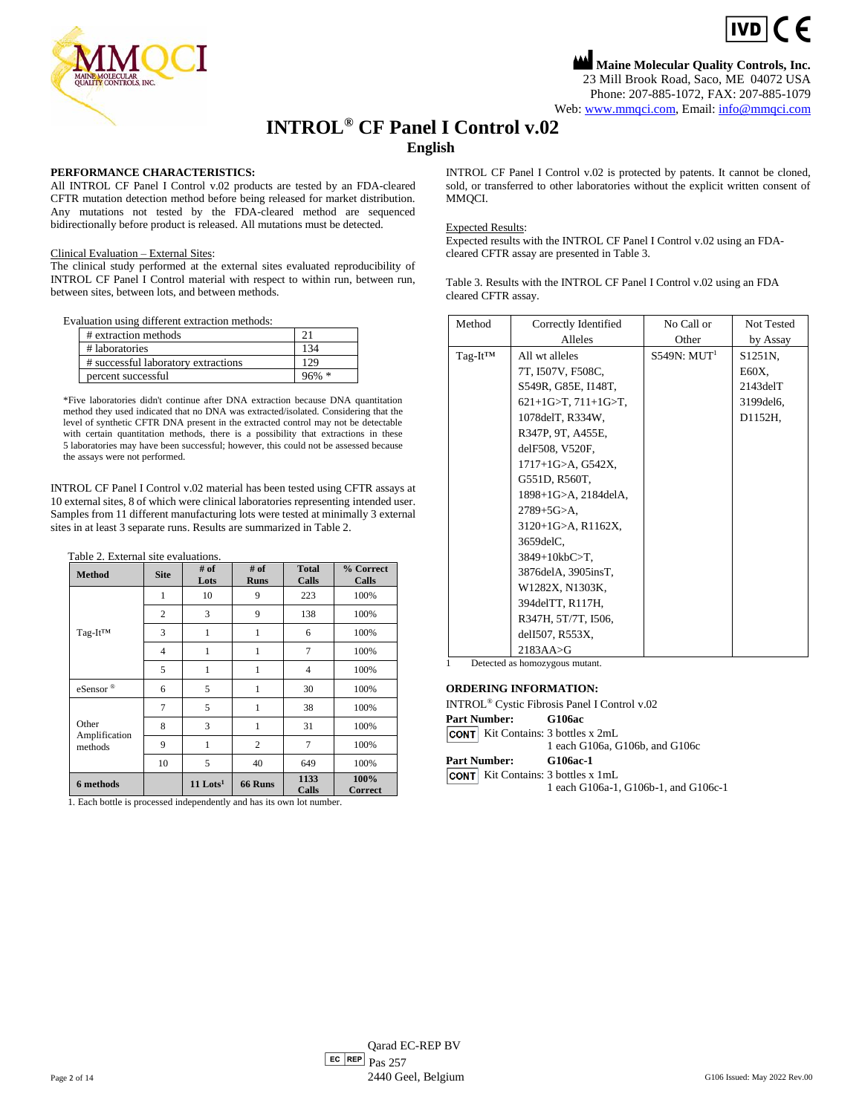

**Maine Molecular Quality Controls, Inc.** 23 Mill Brook Road, Saco, ME 04072 USA Phone: 207-885-1072, FAX: 207-885-1079 Web[: www.mmqci.com,](file://///FS1/Common/Company/CE%20Marking/G106ac/Translation/Translation%20Recieved%200.5.12.2022/www.mmqci.com) Email: [info@mmqci.com](mailto:info@mmqci.com)

 $\epsilon$ 

## **INTROL® CF Panel I Control v.02**

## **English**

### **PERFORMANCE CHARACTERISTICS:**

All INTROL CF Panel I Control v.02 products are tested by an FDA-cleared CFTR mutation detection method before being released for market distribution. Any mutations not tested by the FDA-cleared method are sequenced bidirectionally before product is released. All mutations must be detected.

#### Clinical Evaluation – External Sites:

The clinical study performed at the external sites evaluated reproducibility of INTROL CF Panel I Control material with respect to within run, between run, between sites, between lots, and between methods.

Evaluation using different extraction methods:

| # extraction methods                |          |
|-------------------------------------|----------|
| # laboratories                      |          |
| # successful laboratory extractions | 129      |
| percent successful                  | $96\% *$ |

\*Five laboratories didn't continue after DNA extraction because DNA quantitation method they used indicated that no DNA was extracted/isolated. Considering that the level of synthetic CFTR DNA present in the extracted control may not be detectable with certain quantitation methods, there is a possibility that extractions in these 5 laboratories may have been successful; however, this could not be assessed because the assays were not performed.

INTROL CF Panel I Control v.02 material has been tested using CFTR assays at 10 external sites, 8 of which were clinical laboratories representing intended user. Samples from 11 different manufacturing lots were tested at minimally 3 external sites in at least 3 separate runs. Results are summarized in Table 2.

|  |  | Table 2. External site evaluations. |
|--|--|-------------------------------------|
|  |  |                                     |

| <b>Method</b>                     | <b>Site</b>    | $#$ of<br>Lots         | $#$ of<br><b>Runs</b> | <b>Total</b><br>Calls | % Correct<br>Calls     |
|-----------------------------------|----------------|------------------------|-----------------------|-----------------------|------------------------|
|                                   | 1              | 10                     | 9                     | 223                   | 100%                   |
|                                   | $\overline{c}$ | 3                      | 9                     | 138                   | 100%                   |
| Tag-It <sup>TM</sup>              | 3              | 1                      | 1                     | 6                     | 100%                   |
|                                   | $\overline{4}$ | 1                      | 1                     | 7                     | 100%                   |
|                                   | 5              | 1                      | 1                     | $\overline{4}$        | 100%                   |
| eSensor®                          | 6              | 5                      | 1                     | 30                    | 100%                   |
| Other<br>Amplification<br>methods | 7              | 5                      | 1                     | 38                    | 100%                   |
|                                   | 8              | 3                      | 1                     | 31                    | 100%                   |
|                                   | 9              | 1                      | $\overline{c}$        | 7                     | 100%                   |
|                                   | 10             | 5                      | 40                    | 649                   | 100%                   |
| 6 methods                         |                | $11$ Lots <sup>1</sup> | 66 Runs               | 1133<br>Calls         | 100%<br><b>Correct</b> |

1. Each bottle is processed independently and has its own lot number.

INTROL CF Panel I Control v.02 is protected by patents. It cannot be cloned, sold, or transferred to other laboratories without the explicit written consent of MMQCI.

#### Expected Results:

Expected results with the INTROL CF Panel I Control v.02 using an FDAcleared CFTR assay are presented in Table 3.

Table 3. Results with the INTROL CF Panel I Control v.02 using an FDA cleared CFTR assay.

| Method        | Correctly Identified            | No Call or              | Not Tested     |
|---------------|---------------------------------|-------------------------|----------------|
|               | Alleles                         | Other                   | by Assay       |
| $Tag-It^{TM}$ | All wt alleles                  | S549N: MIT <sup>1</sup> | S1251N.        |
|               | 7T, I507V, F508C,               |                         | E60X,          |
|               | S549R, G85E, I148T,             |                         | $2143$ del $T$ |
|               | $621+1$ G>T, $711+1$ G>T,       |                         | 3199 del 6,    |
|               | 1078 del T, R334W,              |                         | D1152H,        |
|               | R347P, 9T, A455E,               |                         |                |
|               | delF508, V520F,                 |                         |                |
|               | 1717+1G>A, G542X,               |                         |                |
|               | G551D, R560T,                   |                         |                |
|               | 1898+1G>A, 2184delA,            |                         |                |
|               | $2789 + 5G > A$ ,               |                         |                |
|               | $3120+1$ G>A, R1162X,           |                         |                |
|               | $3659$ del $C$ ,                |                         |                |
|               | $3849+10kbC>T$ ,                |                         |                |
|               | 3876delA, 3905insT,             |                         |                |
|               | W1282X, N1303K,                 |                         |                |
|               | 394 del TT, R <sub>117</sub> H, |                         |                |
|               | R347H, 5T/7T, I506,             |                         |                |
|               | delI507, R553X,                 |                         |                |
|               | $2183AA \rightarrow G$          |                         |                |

Detected as homozygous mutant.

#### **ORDERING INFORMATION:**

|                       | INTROL <sup>®</sup> Cystic Fibrosis Panel I Control v.02                          |
|-----------------------|-----------------------------------------------------------------------------------|
| Part Number: G106ac   |                                                                                   |
|                       | <b>CONT</b> Kit Contains: 3 bottles x 2mL<br>1 each G106a, G106b, and G106c       |
| Part Number: G106ac-1 |                                                                                   |
|                       | <b>CONT</b> Kit Contains: 3 bottles x 1mL<br>1 each G106a-1, G106b-1, and G106c-1 |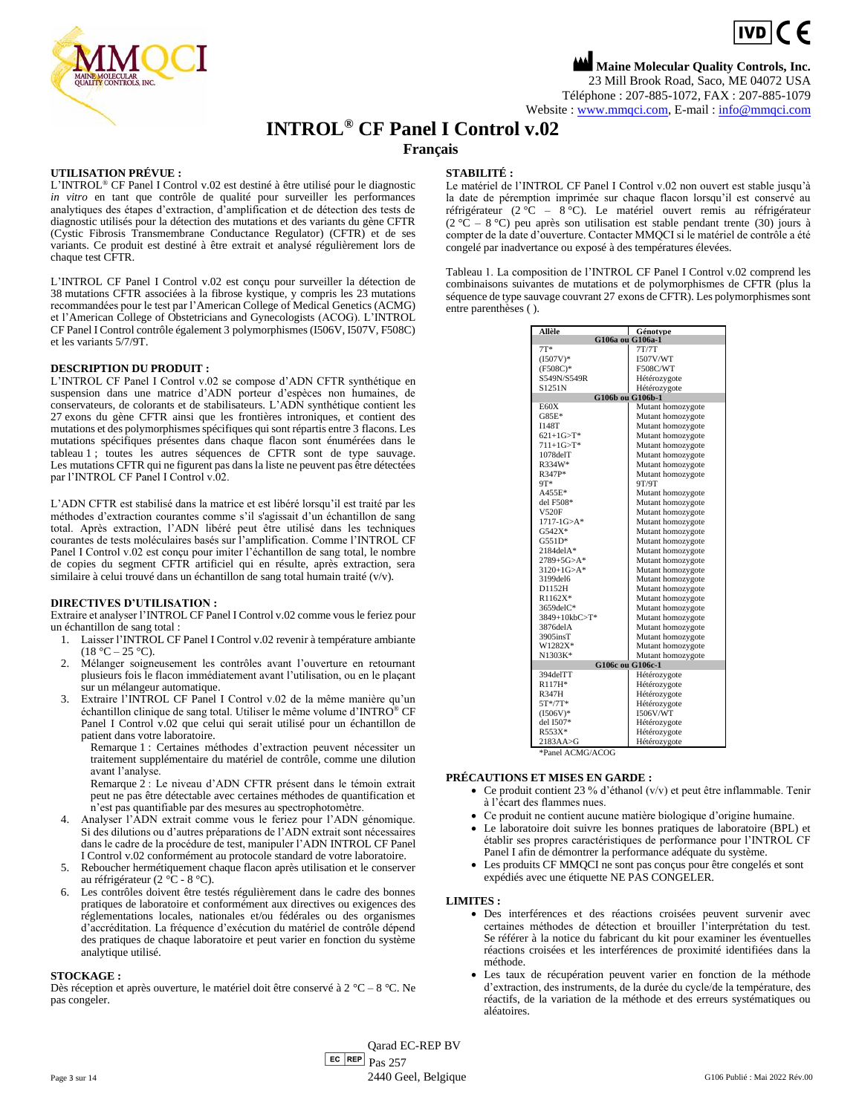

**Maine Molecular Quality Controls, Inc.** 23 Mill Brook Road, Saco, ME 04072 USA Téléphone : 207-885-1072, FAX : 207-885-1079 Website : [www.mmqci.com,](file://///FS1/Common/Company/CE%20Marking/G106ac/Translation/Translation%20Recieved%200.5.12.2022/www.mmqci.com) E-mail [: info@mmqci.com](mailto:info@mmqci.com)

# **INTROL® CF Panel I Control v.02**

## **Français**

#### **UTILISATION PRÉVUE :**

L'INTROL® CF Panel I Control v.02 est destiné à être utilisé pour le diagnostic *in vitro* en tant que contrôle de qualité pour surveiller les performances analytiques des étapes d'extraction, d'amplification et de détection des tests de diagnostic utilisés pour la détection des mutations et des variants du gène CFTR (Cystic Fibrosis Transmembrane Conductance Regulator) (CFTR) et de ses variants. Ce produit est destiné à être extrait et analysé régulièrement lors de chaque test CFTR.

L'INTROL CF Panel I Control v.02 est conçu pour surveiller la détection de 38 mutations CFTR associées à la fibrose kystique, y compris les 23 mutations recommandées pour le test par l'American College of Medical Genetics (ACMG) et l'American College of Obstetricians and Gynecologists (ACOG). L'INTROL CF Panel I Control contrôle également 3 polymorphismes (I506V, I507V, F508C) et les variants 5/7/9T.

#### **DESCRIPTION DU PRODUIT :**

L'INTROL CF Panel I Control v.02 se compose d'ADN CFTR synthétique en suspension dans une matrice d'ADN porteur d'espèces non humaines, de conservateurs, de colorants et de stabilisateurs. L'ADN synthétique contient les 27 exons du gène CFTR ainsi que les frontières introniques, et contient des mutations et des polymorphismes spécifiques qui sont répartis entre 3 flacons. Les mutations spécifiques présentes dans chaque flacon sont énumérées dans le tableau 1 ; toutes les autres séquences de CFTR sont de type sauvage. Les mutations CFTR qui ne figurent pas dans la liste ne peuvent pas être détectées par l'INTROL CF Panel I Control v.02.

L'ADN CFTR est stabilisé dans la matrice et est libéré lorsqu'il est traité par les méthodes d'extraction courantes comme s'il s'agissait d'un échantillon de sang total. Après extraction, l'ADN libéré peut être utilisé dans les techniques courantes de tests moléculaires basés sur l'amplification. Comme l'INTROL CF Panel I Control v.02 est conçu pour imiter l'échantillon de sang total, le nombre de copies du segment CFTR artificiel qui en résulte, après extraction, sera similaire à celui trouvé dans un échantillon de sang total humain traité (v/v).

#### **DIRECTIVES D'UTILISATION :**

Extraire et analyser l'INTROL CF Panel I Control v.02 comme vous le feriez pour un échantillon de sang total :

- 1. Laisser l'INTROL CF Panel I Control v.02 revenir à température ambiante  $(18 °C - 25 °C)$ .
- 2. Mélanger soigneusement les contrôles avant l'ouverture en retournant plusieurs fois le flacon immédiatement avant l'utilisation, ou en le plaçant sur un mélangeur automatique.
- 3. Extraire l'INTROL CF Panel I Control v.02 de la même manière qu'un échantillon clinique de sang total. Utiliser le même volume d'INTRO® CF Panel I Control v.02 que celui qui serait utilisé pour un échantillon de patient dans votre laboratoire.

Remarque 1 : Certaines méthodes d'extraction peuvent nécessiter un traitement supplémentaire du matériel de contrôle, comme une dilution avant l'analyse.

Remarque 2 : Le niveau d'ADN CFTR présent dans le témoin extrait peut ne pas être détectable avec certaines méthodes de quantification et n'est pas quantifiable par des mesures au spectrophotomètre.

- 4. Analyser l'ADN extrait comme vous le feriez pour l'ADN génomique. Si des dilutions ou d'autres préparations de l'ADN extrait sont nécessaires dans le cadre de la procédure de test, manipuler l'ADN INTROL CF Panel I Control v.02 conformément au protocole standard de votre laboratoire.
- 5. Reboucher hermétiquement chaque flacon après utilisation et le conserver au réfrigérateur (2 °C - 8 °C).
- 6. Les contrôles doivent être testés régulièrement dans le cadre des bonnes pratiques de laboratoire et conformément aux directives ou exigences des réglementations locales, nationales et/ou fédérales ou des organismes d'accréditation. La fréquence d'exécution du matériel de contrôle dépend des pratiques de chaque laboratoire et peut varier en fonction du système analytique utilisé.

#### **STOCKAGE :**

Dès réception et après ouverture, le matériel doit être conservé à 2 °C – 8 °C. Ne pas congeler.

#### **STABILITÉ :**

Le matériel de l'INTROL CF Panel I Control v.02 non ouvert est stable jusqu'à la date de péremption imprimée sur chaque flacon lorsqu'il est conservé au réfrigérateur (2 °C – 8 °C). Le matériel ouvert remis au réfrigérateur  $(2 \degree \overline{C} - 8 \degree C)$  peu après son utilisation est stable pendant trente  $(30)$  jours à compter de la date d'ouverture. Contacter MMQCI si le matériel de contrôle a été congelé par inadvertance ou exposé à des températures élevées.

Tableau 1. La composition de l'INTROL CF Panel I Control v.02 comprend les combinaisons suivantes de mutations et de polymorphismes de CFTR (plus la séquence de type sauvage couvrant 27 exons de CFTR). Les polymorphismes sont entre parenthèses ( ).

| Allèle                 | Génotvpe          |
|------------------------|-------------------|
| G106a ou G106a-1       |                   |
| $7T*$                  | 7T/7T             |
| $(I507V)^*$            | 1507V/WT          |
| $(F508C)^*$            | <b>F508C/WT</b>   |
| S549N/S549R            | Hétérozygote      |
| S1251N                 | Hétérozygote      |
| G106b ou G106b-1       |                   |
| E60X                   | Mutant homozygote |
| $G85E*$                | Mutant homozygote |
| <b>I148T</b>           | Mutant homozygote |
| $621+1G > T*$          | Mutant homozygote |
| $711+1G > T^*$         | Mutant homozygote |
| $1078$ del $T$         | Mutant homozygote |
| R334W*                 | Mutant homozygote |
| R347P*                 | Mutant homozygote |
| 9T*                    | 9T/9T             |
| A455E*                 | Mutant homozygote |
| del F508*              | Mutant homozygote |
| V520F                  | Mutant homozygote |
| $1717 - 1G > A*$       | Mutant homozygote |
| G542X*                 | Mutant homozygote |
| $G551D*$               | Mutant homozygote |
| $2184$ del $A*$        | Mutant homozygote |
| $2789 + 5G > A*$       | Mutant homozygote |
| $3120+1$ G>A*          | Mutant homozygote |
| 3199del6               | Mutant homozygote |
| D1152H                 | Mutant homozygote |
| $R1162X*$              | Mutant homozygote |
| 3659delC*              | Mutant homozygote |
| 3849+10kbC>T*          | Mutant homozygote |
| 3876del A              | Mutant homozygote |
| $3905$ ins $T$         | Mutant homozygote |
| W1282X*                | Mutant homozygote |
| N1303K*                | Mutant homozygote |
| G106c ou G106c-1       |                   |
| 394delTT               | Hétérozygote      |
| R117H*                 | Hétérozygote      |
| <b>R347H</b>           | Hétérozygote      |
| $5T*/7T*$              | Hétérozygote      |
| $(I506V)^*$            | <b>I506V/WT</b>   |
| del I507*              | Hétérozygote      |
| R553X*                 | Hétérozygote      |
| $2183AA \rightarrow G$ | Hétérozygote      |

\*Panel ACMG/ACOG

#### **PRÉCAUTIONS ET MISES EN GARDE :**

- Ce produit contient 23 % d'éthanol (v/v) et peut être inflammable. Tenir à l'écart des flammes nues.
- Ce produit ne contient aucune matière biologique d'origine humaine.
- Le laboratoire doit suivre les bonnes pratiques de laboratoire (BPL) et établir ses propres caractéristiques de performance pour l'INTROL CF Panel I afin de démontrer la performance adéquate du système.
- Les produits CF MMQCI ne sont pas conçus pour être congelés et sont expédiés avec une étiquette NE PAS CONGELER.

#### **LIMITES :**

- Des interférences et des réactions croisées peuvent survenir avec certaines méthodes de détection et brouiller l'interprétation du test. Se référer à la notice du fabricant du kit pour examiner les éventuelles réactions croisées et les interférences de proximité identifiées dans la méthode.
- Les taux de récupération peuvent varier en fonction de la méthode d'extraction, des instruments, de la durée du cycle/de la température, des réactifs, de la variation de la méthode et des erreurs systématiques ou aléatoires.

 $E<sub>C</sub>$  REP  $Pas 257$ Qarad EC-REP BV Page 3 sur 14 G106 Publié : Mai 2022 Rév.00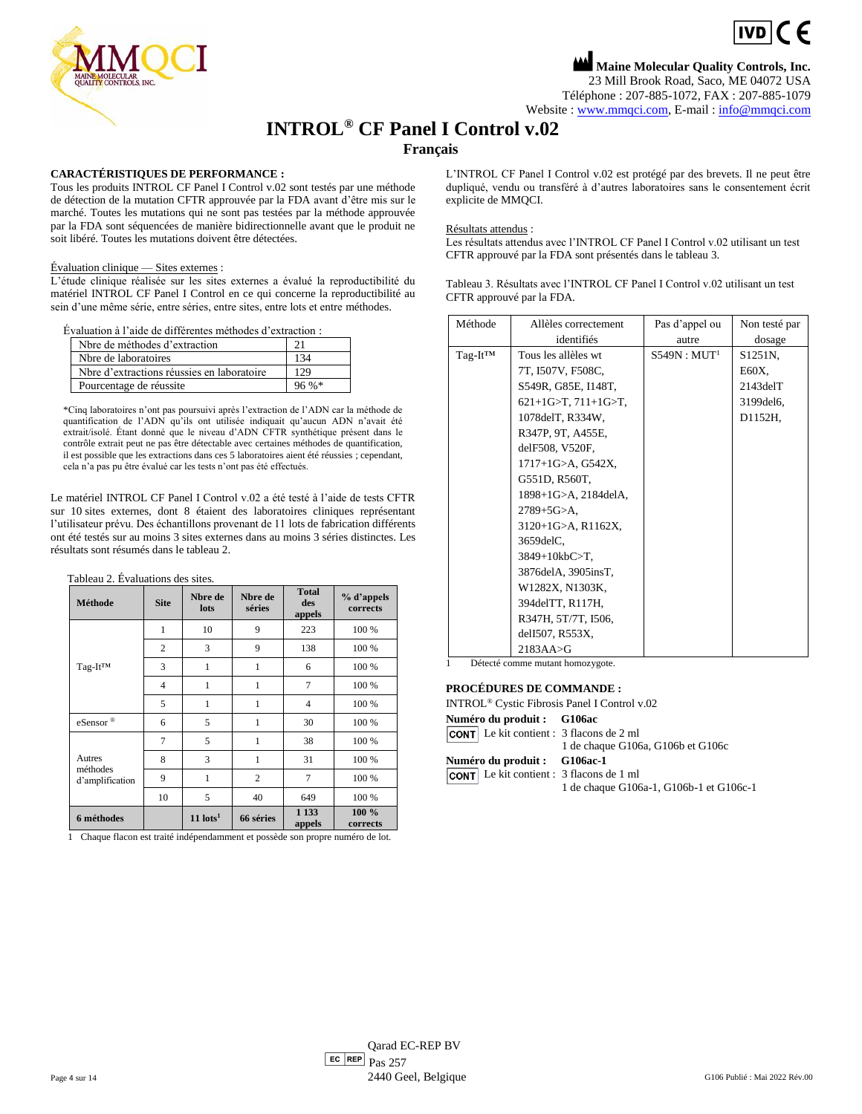$IVDICF$ 

**Maine Molecular Quality Controls, Inc.** 23 Mill Brook Road, Saco, ME 04072 USA Téléphone : 207-885-1072, FAX : 207-885-1079 Website : [www.mmqci.com,](file://///FS1/Common/Company/CE%20Marking/G106ac/Translation/Translation%20Recieved%200.5.12.2022/www.mmqci.com) E-mail [: info@mmqci.com](mailto:info@mmqci.com)

## **INTROL® CF Panel I Control v.02**

## **Français**

#### **CARACTÉRISTIQUES DE PERFORMANCE :**

Tous les produits INTROL CF Panel I Control v.02 sont testés par une méthode de détection de la mutation CFTR approuvée par la FDA avant d'être mis sur le marché. Toutes les mutations qui ne sont pas testées par la méthode approuvée par la FDA sont séquencées de manière bidirectionnelle avant que le produit ne soit libéré. Toutes les mutations doivent être détectées.

#### Évaluation clinique — Sites externes :

L'étude clinique réalisée sur les sites externes a évalué la reproductibilité du matériel INTROL CF Panel I Control en ce qui concerne la reproductibilité au sein d'une même série, entre séries, entre sites, entre lots et entre méthodes.

Évaluation à l'aide de différentes méthodes d'extraction :

| Nbre de méthodes d'extraction              |         |
|--------------------------------------------|---------|
| No de laboratoires                         | 134     |
| Nbre d'extractions réussies en laboratoire | 129     |
| Pourcentage de réussite                    | $96\%*$ |

\*Cinq laboratoires n'ont pas poursuivi après l'extraction de l'ADN car la méthode de quantification de l'ADN qu'ils ont utilisée indiquait qu'aucun ADN n'avait été extrait/isolé. Étant donné que le niveau d'ADN CFTR synthétique présent dans le contrôle extrait peut ne pas être détectable avec certaines méthodes de quantification, il est possible que les extractions dans ces 5 laboratoires aient été réussies ; cependant, cela n'a pas pu être évalué car les tests n'ont pas été effectués.

Le matériel INTROL CF Panel I Control v.02 a été testé à l'aide de tests CFTR sur 10 sites externes, dont 8 étaient des laboratoires cliniques représentant l'utilisateur prévu. Des échantillons provenant de 11 lots de fabrication différents ont été testés sur au moins 3 sites externes dans au moins 3 séries distinctes. Les résultats sont résumés dans le tableau 2.

**Total** 

| Tableau 2. Évaluations des sites. |         |  |
|-----------------------------------|---------|--|
|                                   | Nhre de |  |

| Méthode                               | <b>Site</b>    | Nbre de<br>lots        | Nbre de<br>séries | 1 vlai<br>des<br>appels | % d'appels<br>corrects |
|---------------------------------------|----------------|------------------------|-------------------|-------------------------|------------------------|
|                                       | $\mathbf{1}$   | 10                     | 9                 | 223                     | 100 %                  |
|                                       | $\overline{2}$ | 3                      | 9                 | 138                     | 100 %                  |
| Tag-It <sup>TM</sup>                  | 3              | 1                      | 1                 | 6                       | 100 %                  |
|                                       | $\overline{4}$ | 1                      | 1                 | $\overline{7}$          | 100 %                  |
|                                       | 5              | 1                      | 1                 | $\overline{4}$          | 100 %                  |
| eSensor®                              | 6              | 5                      | 1                 | 30                      | 100 %                  |
| Autres<br>méthodes<br>d'amplification | 7              | 5                      | 1                 | 38                      | 100 %                  |
|                                       | 8              | 3                      | 1                 | 31                      | 100 %                  |
|                                       | 9              | 1                      | $\overline{c}$    | 7                       | 100 %                  |
|                                       | 10             | 5                      | 40                | 649                     | 100 %                  |
| 6 méthodes                            |                | $11$ lots <sup>1</sup> | 66 séries         | 1 1 3 3<br>appels       | $100 \%$<br>corrects   |

1 Chaque flacon est traité indépendamment et possède son propre numéro de lot.

L'INTROL CF Panel I Control v.02 est protégé par des brevets. Il ne peut être dupliqué, vendu ou transféré à d'autres laboratoires sans le consentement écrit explicite de MMQCI.

#### Résultats attendus :

Les résultats attendus avec l'INTROL CF Panel I Control v.02 utilisant un test CFTR approuvé par la FDA sont présentés dans le tableau 3.

Tableau 3. Résultats avec l'INTROL CF Panel I Control v.02 utilisant un test CFTR approuvé par la FDA.

| Méthode       | Allèles correctement         | Pas d'appel ou           | Non testé par        |
|---------------|------------------------------|--------------------------|----------------------|
|               | identifiés                   | autre                    | dosage               |
| $Taq-It^{TM}$ | Tous les allèles wt          | S549N : MUT <sup>1</sup> | S <sub>1251</sub> N. |
|               | 7T, I507V, F508C,            |                          | E60X,                |
|               | S549R, G85E, I148T,          |                          | $2143$ del $T$       |
|               | $621+1G>T$ , $711+1G>T$ ,    |                          | 3199 del 6,          |
|               | 1078 del T, R334W,           |                          | D1152H,              |
|               | R347P, 9T, A455E,            |                          |                      |
|               | delF508, V520F,              |                          |                      |
|               | $1717+1$ G $>A$ , G $542X$ , |                          |                      |
|               | G551D, R560T,                |                          |                      |
|               | 1898+1G>A, 2184delA,         |                          |                      |
|               | $2789 + 5G > A$ ,            |                          |                      |
|               | 3120+1G>A, R1162X,           |                          |                      |
|               | 3659delC,                    |                          |                      |
|               | 3849+10kbC>T,                |                          |                      |
|               | 3876delA, 3905insT,          |                          |                      |
|               | W1282X, N1303K,              |                          |                      |
|               | 394delTT, R117H,             |                          |                      |
|               | R347H, 5T/7T, I506,          |                          |                      |
|               | delI507, R553X,              |                          |                      |
|               | $2183AA \rightarrow G$       |                          |                      |

1 Détecté comme mutant homozygote.

#### **PROCÉDURES DE COMMANDE :**

| $\text{H}$ and $\text{H}$ $\text{H}$ and $\text{H}$ and $\text{H}$ compared $\text{H}$ . |                                         |
|------------------------------------------------------------------------------------------|-----------------------------------------|
| Numéro du produit : G106ac                                                               |                                         |
| <b>CONT</b> Le kit contient : $3$ flacons de $2$ ml                                      |                                         |
|                                                                                          | 1 de chaque G106a, G106b et G106c       |
| Numéro du produit : G106ac-1                                                             |                                         |
| <b>CONT</b> Le kit contient : 3 flacons de 1 ml                                          |                                         |
|                                                                                          | 1 de chaque G106a-1, G106b-1 et G106c-1 |
|                                                                                          |                                         |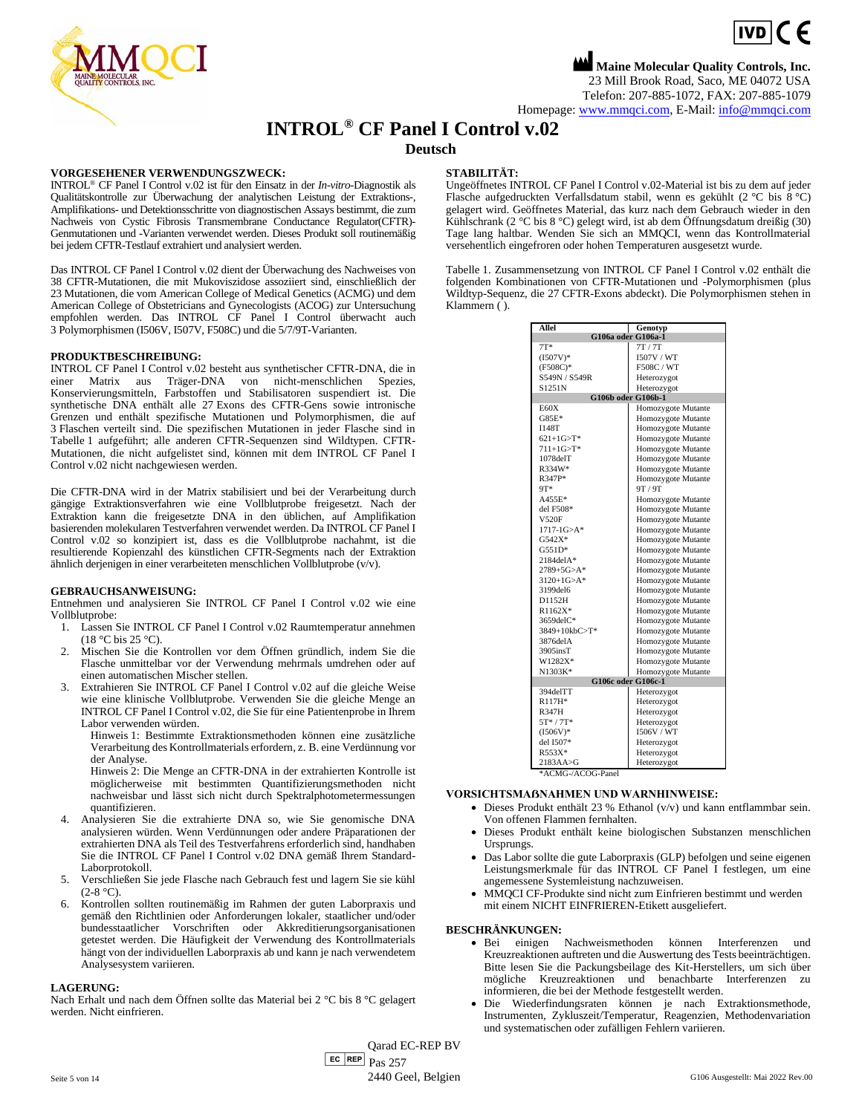

**Maine Molecular Quality Controls, Inc.** 23 Mill Brook Road, Saco, ME 04072 USA Telefon: 207-885-1072, FAX: 207-885-1079 Homepage[: www.mmqci.com,](file://///FS1/Common/Company/CE%20Marking/G106ac/Translation/Translation%20Recieved%200.5.12.2022/www.mmqci.com) E-Mail[: info@mmqci.com](mailto:info@mmqci.com)

## **INTROL® CF Panel I Control v.02**

### **Deutsch**

#### **VORGESEHENER VERWENDUNGSZWECK:**

INTROL® CF Panel I Control v.02 ist für den Einsatz in der *In-vitro*-Diagnostik als Qualitätskontrolle zur Überwachung der analytischen Leistung der Extraktions-, Amplifikations- und Detektionsschritte von diagnostischen Assays bestimmt, die zum Nachweis von Cystic Fibrosis Transmembrane Conductance Regulator(CFTR)- Genmutationen und -Varianten verwendet werden. Dieses Produkt soll routinemäßig bei jedem CFTR-Testlauf extrahiert und analysiert werden.

Das INTROL CF Panel I Control v.02 dient der Überwachung des Nachweises von 38 CFTR-Mutationen, die mit Mukoviszidose assoziiert sind, einschließlich der 23 Mutationen, die vom American College of Medical Genetics (ACMG) und dem American College of Obstetricians and Gynecologists (ACOG) zur Untersuchung empfohlen werden. Das INTROL CF Panel I Control überwacht auch 3 Polymorphismen (I506V, I507V, F508C) und die 5/7/9T-Varianten.

#### **PRODUKTBESCHREIBUNG:**

INTROL CF Panel I Control v.02 besteht aus synthetischer CFTR-DNA, die in einer Matrix aus Träger-DNA von nicht-menschlichen Spezies, Konservierungsmitteln, Farbstoffen und Stabilisatoren suspendiert ist. Die synthetische DNA enthält alle 27 Exons des CFTR-Gens sowie intronische Grenzen und enthält spezifische Mutationen und Polymorphismen, die auf 3 Flaschen verteilt sind. Die spezifischen Mutationen in jeder Flasche sind in Tabelle 1 aufgeführt; alle anderen CFTR-Sequenzen sind Wildtypen. CFTR-Mutationen, die nicht aufgelistet sind, können mit dem INTROL CF Panel I Control v.02 nicht nachgewiesen werden.

Die CFTR-DNA wird in der Matrix stabilisiert und bei der Verarbeitung durch gängige Extraktionsverfahren wie eine Vollblutprobe freigesetzt. Nach der Extraktion kann die freigesetzte DNA in den üblichen, auf Amplifikation basierenden molekularen Testverfahren verwendet werden. Da INTROL CF Panel I Control v.02 so konzipiert ist, dass es die Vollblutprobe nachahmt, ist die resultierende Kopienzahl des künstlichen CFTR-Segments nach der Extraktion ähnlich derjenigen in einer verarbeiteten menschlichen Vollblutprobe (v/v).

#### **GEBRAUCHSANWEISUNG:**

Entnehmen und analysieren Sie INTROL CF Panel I Control v.02 wie eine Vollblutprobe:

- 1. Lassen Sie INTROL CF Panel I Control v.02 Raumtemperatur annehmen (18 °C bis 25 °C).
- 2. Mischen Sie die Kontrollen vor dem Öffnen gründlich, indem Sie die Flasche unmittelbar vor der Verwendung mehrmals umdrehen oder auf einen automatischen Mischer stellen.
- 3. Extrahieren Sie INTROL CF Panel I Control v.02 auf die gleiche Weise wie eine klinische Vollblutprobe. Verwenden Sie die gleiche Menge an INTROL CF Panel I Control v.02, die Sie für eine Patientenprobe in Ihrem Labor verwenden würden.
	- Hinweis 1: Bestimmte Extraktionsmethoden können eine zusätzliche Verarbeitung des Kontrollmaterials erfordern, z. B. eine Verdünnung vor der Analyse.

Hinweis 2: Die Menge an CFTR-DNA in der extrahierten Kontrolle ist möglicherweise mit bestimmten Quantifizierungsmethoden nicht nachweisbar und lässt sich nicht durch Spektralphotometermessungen quantifizieren.

- 4. Analysieren Sie die extrahierte DNA so, wie Sie genomische DNA analysieren würden. Wenn Verdünnungen oder andere Präparationen der extrahierten DNA als Teil des Testverfahrens erforderlich sind, handhaben Sie die INTROL CF Panel I Control v.02 DNA gemäß Ihrem Standard-Laborprotokoll.
- 5. Verschließen Sie jede Flasche nach Gebrauch fest und lagern Sie sie kühl  $(2-8 °C)$ .
- 6. Kontrollen sollten routinemäßig im Rahmen der guten Laborpraxis und gemäß den Richtlinien oder Anforderungen lokaler, staatlicher und/oder bundesstaatlicher Vorschriften oder Akkreditierungsorganisationen getestet werden. Die Häufigkeit der Verwendung des Kontrollmaterials hängt von der individuellen Laborpraxis ab und kann je nach verwendetem Analysesystem variieren.

#### **LAGERUNG:**

Nach Erhalt und nach dem Öffnen sollte das Material bei 2 °C bis 8 °C gelagert werden. Nicht einfrieren.

#### **STABILITÄT:**

Ungeöffnetes INTROL CF Panel I Control v.02-Material ist bis zu dem auf jeder Flasche aufgedruckten Verfallsdatum stabil, wenn es gekühlt (2 °C bis 8 °C) gelagert wird. Geöffnetes Material, das kurz nach dem Gebrauch wieder in den Kühlschrank (2 °C bis 8 °C) gelegt wird, ist ab dem Öffnungsdatum dreißig (30) Tage lang haltbar. Wenden Sie sich an MMQCI, wenn das Kontrollmaterial versehentlich eingefroren oder hohen Temperaturen ausgesetzt wurde.

Tabelle 1. Zusammensetzung von INTROL CF Panel I Control v.02 enthält die folgenden Kombinationen von CFTR-Mutationen und -Polymorphismen (plus Wildtyp-Sequenz, die 27 CFTR-Exons abdeckt). Die Polymorphismen stehen in Klammern ( ).

| Allel<br>Genotyp   |                    |  |
|--------------------|--------------------|--|
| G106a oder G106a-1 |                    |  |
| $7T*$              | 7T/7T              |  |
| $(I507V)$ *        | 1507V / WT         |  |
| $(F508C)^*$        | F508C / WT         |  |
| S549N / S549R      | Heterozygot        |  |
| S1251N             | Heterozygot        |  |
| G106b oder G106b-1 |                    |  |
| E60X               | Homozygote Mutante |  |
| $G85E*$            | Homozygote Mutante |  |
| <b>I148T</b>       | Homozygote Mutante |  |
| $621+1$ G>T*       | Homozygote Mutante |  |
| $711+1G > T^*$     | Homozygote Mutante |  |
| 1078delT           | Homozygote Mutante |  |
| R334W*             | Homozygote Mutante |  |
| R347P*             | Homozygote Mutante |  |
| 9T*                | 9T/9T              |  |
| $A455E*$           | Homozygote Mutante |  |
| del F508*          | Homozygote Mutante |  |
| <b>V520F</b>       | Homozygote Mutante |  |
| $1717 - 1G > A^*$  | Homozygote Mutante |  |
| $G542X*$           | Homozygote Mutante |  |
| $G551D*$           | Homozygote Mutante |  |
| $2184$ del $A^*$   | Homozygote Mutante |  |
| $2789 + 5G > A^*$  | Homozygote Mutante |  |
| $3120+1G > A*$     | Homozygote Mutante |  |
| 3199del6           | Homozygote Mutante |  |
| D1152H             | Homozygote Mutante |  |
| $R1162X*$          | Homozygote Mutante |  |
| 3659delC*          | Homozygote Mutante |  |
| 3849+10kbC>T*      | Homozygote Mutante |  |
| 3876del A          | Homozygote Mutante |  |
| 3905insT           | Homozygote Mutante |  |
| W1282X*            | Homozygote Mutante |  |
| N1303K*            | Homozygote Mutante |  |
| G106c oder G106c-1 |                    |  |
| 394delTT           | Heterozygot        |  |
| $R117H*$           | Heterozygot        |  |
| R347H              | Heterozygot        |  |
| $5T*/7T*$          | Heterozygot        |  |
| $(I506V)^*$        | 1506V / WT         |  |
| del I507*          | Heterozygot        |  |
| $R553X*$           | Heterozygot        |  |
| 2183AA > G         | Heterozygot        |  |

\*ACMG-/ACOG-Panel

#### **VORSICHTSMAẞNAHMEN UND WARNHINWEISE:**

- Dieses Produkt enthält 23 % Ethanol (v/v) und kann entflammbar sein. Von offenen Flammen fernhalten.
- Dieses Produkt enthält keine biologischen Substanzen menschlichen Ursprungs.
- Das Labor sollte die gute Laborpraxis (GLP) befolgen und seine eigenen Leistungsmerkmale für das INTROL CF Panel I festlegen, um eine angemessene Systemleistung nachzuweisen.
- MMQCI CF-Produkte sind nicht zum Einfrieren bestimmt und werden mit einem NICHT EINFRIEREN-Etikett ausgeliefert.

#### **BESCHRÄNKUNGEN:**

- Bei einigen Nachweismethoden können Interferenzen und Kreuzreaktionen auftreten und die Auswertung des Tests beeinträchtigen. Bitte lesen Sie die Packungsbeilage des Kit-Herstellers, um sich über mögliche Kreuzreaktionen und benachbarte Interferenzen zu informieren, die bei der Methode festgestellt werden.
- Die Wiederfindungsraten können je nach Extraktionsmethode, Instrumenten, Zykluszeit/Temperatur, Reagenzien, Methodenvariation und systematischen oder zufälligen Fehlern variieren.

 $E<sub>C</sub>$  REP  $Pas 257$ Qarad EC-REP BV Seite 5 von 14 2440 Geel, Belgien G106 Ausgestellt: Mai 2022 Rev.00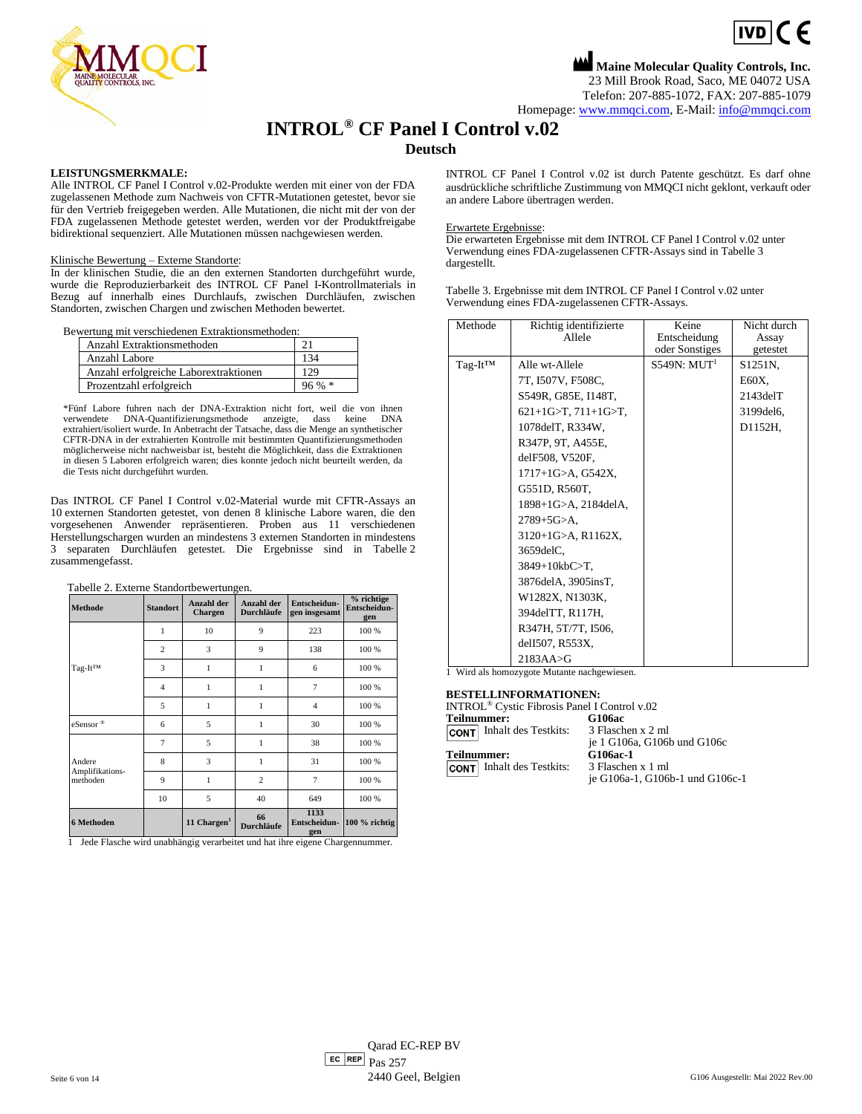

**Maine Molecular Quality Controls, Inc.** 23 Mill Brook Road, Saco, ME 04072 USA Telefon: 207-885-1072, FAX: 207-885-1079 Homepage[: www.mmqci.com,](file://///FS1/Common/Company/CE%20Marking/G106ac/Translation/Translation%20Recieved%200.5.12.2022/www.mmqci.com) E-Mail[: info@mmqci.com](mailto:info@mmqci.com)

 $IVD$   $C$   $F$ 

## **INTROL® CF Panel I Control v.02**

**Deutsch**

#### **LEISTUNGSMERKMALE:**

Alle INTROL CF Panel I Control v.02-Produkte werden mit einer von der FDA zugelassenen Methode zum Nachweis von CFTR-Mutationen getestet, bevor sie für den Vertrieb freigegeben werden. Alle Mutationen, die nicht mit der von der FDA zugelassenen Methode getestet werden, werden vor der Produktfreigabe bidirektional sequenziert. Alle Mutationen müssen nachgewiesen werden.

## Klinische Bewertung – Externe Standorte:

In der klinischen Studie, die an den externen Standorten durchgeführt wurde, wurde die Reproduzierbarkeit des INTROL CF Panel I**-**Kontrollmaterials in Bezug auf innerhalb eines Durchlaufs, zwischen Durchläufen, zwischen Standorten, zwischen Chargen und zwischen Methoden bewertet.

Bewertung mit verschiedenen Extraktionsmethoden:

| Anzahl Extraktionsmethoden            |          |
|---------------------------------------|----------|
| Anzahl Labore                         | 134      |
| Anzahl erfolgreiche Laborextraktionen | 129      |
| Prozentzahl erfolgreich               | $96\% *$ |

\*Fünf Labore fuhren nach der DNA-Extraktion nicht fort, weil die von ihnen verwendete DNA-Quantifizierungsmethode anzeigte, dass keine DNA extrahiert/isoliert wurde. In Anbetracht der Tatsache, dass die Menge an synthetischer CFTR-DNA in der extrahierten Kontrolle mit bestimmten Quantifizierungsmethoden möglicherweise nicht nachweisbar ist, besteht die Möglichkeit, dass die Extraktionen in diesen 5 Laboren erfolgreich waren; dies konnte jedoch nicht beurteilt werden, da die Tests nicht durchgeführt wurden.

Das INTROL CF Panel I Control v.02-Material wurde mit CFTR-Assays an 10 externen Standorten getestet, von denen 8 klinische Labore waren, die den vorgesehenen Anwender repräsentieren. Proben aus 11 verschiedenen Herstellungschargen wurden an mindestens 3 externen Standorten in mindestens 3 separaten Durchläufen getestet. Die Ergebnisse sind in Tabelle 2 zusammengefasst.

| <b>Methode</b>              | <b>Standort</b> | Anzahl der<br><b>Chargen</b> | <b>Anzahl der</b><br><b>Durchläufe</b> | Entscheidun-<br>gen insgesamt | % richtige<br>Entscheidun-<br>gen |
|-----------------------------|-----------------|------------------------------|----------------------------------------|-------------------------------|-----------------------------------|
|                             | 1               | 10                           | 9                                      | 223                           | 100 %                             |
|                             | $\overline{c}$  | 3                            | 9                                      | 138                           | 100 %                             |
| Tag-It™                     | 3               | 1                            | 1                                      | 6                             | 100 %                             |
|                             | $\overline{4}$  | 1                            | 1                                      | 7                             | 100 %                             |
|                             | 5               | 1                            | 1                                      | $\overline{4}$                | 100 %                             |
| eSensor®                    | 6               | 5                            | 1                                      | 30                            | 100 %                             |
|                             | $\overline{7}$  | 5                            | $\mathbf{1}$                           | 38                            | 100 %                             |
| Andere                      | 8               | 3                            | $\mathbf{1}$                           | 31                            | 100 %                             |
| Amplifikations-<br>methoden | 9               | 1                            | 2                                      | $\overline{7}$                | 100 %                             |
|                             | 10              | 5                            | 40                                     | 649                           | 100 %                             |
| 6 Methoden                  |                 | 11 Chargen $1$               | 66<br><b>Durchläufe</b>                | 1133<br>Entscheidun-<br>gen   | 100 % richtig                     |

1 Jede Flasche wird unabhängig verarbeitet und hat ihre eigene Chargennummer.

INTROL CF Panel I Control v.02 ist durch Patente geschützt. Es darf ohne ausdrückliche schriftliche Zustimmung von MMQCI nicht geklont, verkauft oder an andere Labore übertragen werden.

#### Erwartete Ergebnisse:

Die erwarteten Ergebnisse mit dem INTROL CF Panel I Control v.02 unter Verwendung eines FDA-zugelassenen CFTR-Assays sind in Tabelle 3 dargestellt.

Tabelle 3. Ergebnisse mit dem INTROL CF Panel I Control v.02 unter Verwendung eines FDA-zugelassenen CFTR-Assays.

| Methode              | Richtig identifizierte<br>Allele                                                                                                                                                                                                                                                                                 | Keine<br>Entscheidung<br>oder Sonstiges | Nicht durch<br>Assay<br>getestet                                          |
|----------------------|------------------------------------------------------------------------------------------------------------------------------------------------------------------------------------------------------------------------------------------------------------------------------------------------------------------|-----------------------------------------|---------------------------------------------------------------------------|
| Tag-It <sup>TM</sup> | Alle wt-Allele<br>7T, I507V, F508C,<br>S549R, G85E, I148T,<br>$621+1G>T$ , $711+1G>T$ ,<br>1078 del T, R334W,<br>R347P, 9T, A455E,<br>delF508, V520F,<br>$1717+1$ G $>A$ , G $542X$ ,<br>G551D, R560T,<br>1898+1G>A, 2184delA,<br>$2789 + 5G > A.$<br>$3120+1$ G>A, R1162X,<br>$3659$ del $C$ ,<br>3849+10kbC>T, | S549N: MUT <sup>1</sup>                 | S <sub>1251</sub> N,<br>E60X.<br>$2143$ del $T$<br>3199 del 6,<br>D1152H, |
|                      | 3876delA, 3905insT,<br>W1282X, N1303K,<br>394delTT, R117H,<br>R347H, 5T/7T, I506,                                                                                                                                                                                                                                |                                         |                                                                           |
|                      | delI507, R553X,<br>$2183AA \rightarrow G$                                                                                                                                                                                                                                                                        |                                         |                                                                           |

1 Wird als homozygote Mutante nachgewiesen.

#### **BESTELLINFORMATIONEN:**

| <b>Teilnummer:</b>               | G106ac                          |
|----------------------------------|---------------------------------|
| <b>CONT</b> Inhalt des Testkits: | 3 Flaschen x 2 ml               |
|                                  | je 1 G106a, G106b und G106c     |
| <b>Teilnummer:</b>               | G106ac-1                        |
| <b>CONT</b> Inhalt des Testkits: | 3 Flaschen x 1 ml               |
|                                  | je G106a-1, G106b-1 und G106c-1 |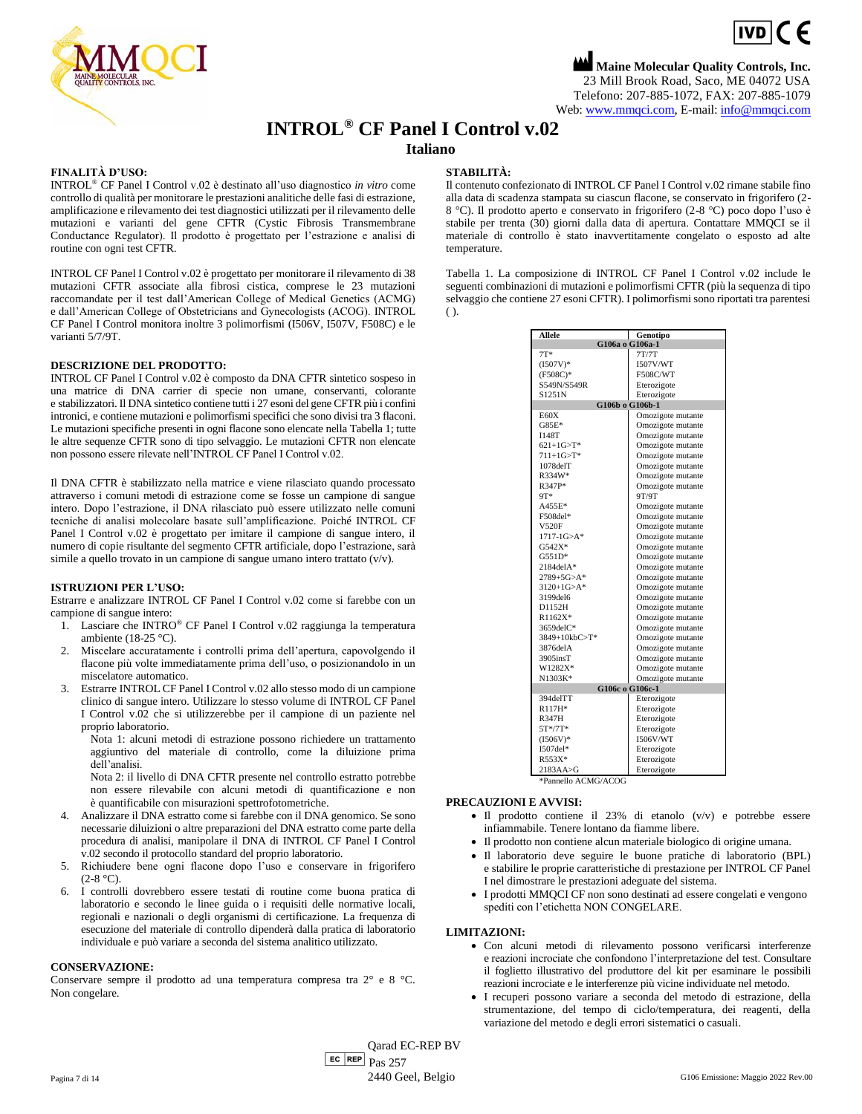

**Maine Molecular Quality Controls, Inc.** 23 Mill Brook Road, Saco, ME 04072 USA Telefono: 207-885-1072, FAX: 207-885-1079 Web[: www.mmqci.com,](file://///FS1/Common/Company/CE%20Marking/G106ac/Translation/Translation%20Recieved%200.5.12.2022/www.mmqci.com) E-mail: [info@mmqci.com](mailto:info@mmqci.com)

## **INTROL® CF Panel I Control v.02**

**Italiano**

#### **FINALITÀ D'USO:**

INTROL® CF Panel I Control v.02 è destinato all'uso diagnostico *in vitro* come controllo di qualità per monitorare le prestazioni analitiche delle fasi di estrazione, amplificazione e rilevamento dei test diagnostici utilizzati per il rilevamento delle mutazioni e varianti del gene CFTR (Cystic Fibrosis Transmembrane Conductance Regulator). Il prodotto è progettato per l'estrazione e analisi di routine con ogni test CFTR.

INTROL CF Panel I Control v.02 è progettato per monitorare il rilevamento di 38 mutazioni CFTR associate alla fibrosi cistica, comprese le 23 mutazioni raccomandate per il test dall'American College of Medical Genetics (ACMG) e dall'American College of Obstetricians and Gynecologists (ACOG). INTROL CF Panel I Control monitora inoltre 3 polimorfismi (I506V, I507V, F508C) e le varianti 5/7/9T.

#### **DESCRIZIONE DEL PRODOTTO:**

INTROL CF Panel I Control v.02 è composto da DNA CFTR sintetico sospeso in una matrice di DNA carrier di specie non umane, conservanti, colorante e stabilizzatori. Il DNA sintetico contiene tutti i 27 esoni del gene CFTR più i confini intronici, e contiene mutazioni e polimorfismi specifici che sono divisi tra 3 flaconi. Le mutazioni specifiche presenti in ogni flacone sono elencate nella Tabella 1; tutte le altre sequenze CFTR sono di tipo selvaggio. Le mutazioni CFTR non elencate non possono essere rilevate nell'INTROL CF Panel I Control v.02.

Il DNA CFTR è stabilizzato nella matrice e viene rilasciato quando processato attraverso i comuni metodi di estrazione come se fosse un campione di sangue intero. Dopo l'estrazione, il DNA rilasciato può essere utilizzato nelle comuni tecniche di analisi molecolare basate sull'amplificazione. Poiché INTROL CF Panel I Control v.02 è progettato per imitare il campione di sangue intero, il numero di copie risultante del segmento CFTR artificiale, dopo l'estrazione, sarà simile a quello trovato in un campione di sangue umano intero trattato (v/v).

#### **ISTRUZIONI PER L'USO:**

Estrarre e analizzare INTROL CF Panel I Control v.02 come si farebbe con un campione di sangue intero:

- 1. Lasciare che INTRO® CF Panel I Control v.02 raggiunga la temperatura ambiente (18-25 °C).
- 2. Miscelare accuratamente i controlli prima dell'apertura, capovolgendo il flacone più volte immediatamente prima dell'uso, o posizionandolo in un miscelatore automatico.
- 3. Estrarre INTROL CF Panel I Control v.02 allo stesso modo di un campione clinico di sangue intero. Utilizzare lo stesso volume di INTROL CF Panel I Control v.02 che si utilizzerebbe per il campione di un paziente nel proprio laboratorio.

Nota 1: alcuni metodi di estrazione possono richiedere un trattamento aggiuntivo del materiale di controllo, come la diluizione prima dell'analisi.

Nota 2: il livello di DNA CFTR presente nel controllo estratto potrebbe non essere rilevabile con alcuni metodi di quantificazione e non è quantificabile con misurazioni spettrofotometriche.

4. Analizzare il DNA estratto come si farebbe con il DNA genomico. Se sono necessarie diluizioni o altre preparazioni del DNA estratto come parte della procedura di analisi, manipolare il DNA di INTROL CF Panel I Control v.02 secondo il protocollo standard del proprio laboratorio.

- 5. Richiudere bene ogni flacone dopo l'uso e conservare in frigorifero  $(2-8 °C)$ .
- 6. I controlli dovrebbero essere testati di routine come buona pratica di laboratorio e secondo le linee guida o i requisiti delle normative locali, regionali e nazionali o degli organismi di certificazione. La frequenza di esecuzione del materiale di controllo dipenderà dalla pratica di laboratorio individuale e può variare a seconda del sistema analitico utilizzato.

### **CONSERVAZIONE:**

Conservare sempre il prodotto ad una temperatura compresa tra 2° e 8 °C. Non congelare.

#### **STABILITÀ:**

Il contenuto confezionato di INTROL CF Panel I Control v.02 rimane stabile fino alla data di scadenza stampata su ciascun flacone, se conservato in frigorifero (2- 8 °C). Il prodotto aperto e conservato in frigorifero (2-8 °C) poco dopo l'uso è stabile per trenta (30) giorni dalla data di apertura. Contattare MMQCI se il materiale di controllo è stato inavvertitamente congelato o esposto ad alte temperature.

Tabella 1. La composizione di INTROL CF Panel I Control v.02 include le seguenti combinazioni di mutazioni e polimorfismi CFTR (più la sequenza di tipo selvaggio che contiene 27 esoni CFTR). I polimorfismi sono riportati tra parentesi  $($ ).

| Allele                 | Genotipo          |
|------------------------|-------------------|
| G106a o G106a-1        |                   |
| $7T*$                  | 7T/7T             |
| $(I507V)^*$            | <b>I507V/WT</b>   |
| $(F508C)^*$            | <b>F508C/WT</b>   |
| S549N/S549R            | Eterozigote       |
| S1251N                 | Eterozigote       |
| G106b o G106b-1        |                   |
| E60X                   | Omozigote mutante |
| $G85E*$                | Omozigote mutante |
| <b>I148T</b>           | Omozigote mutante |
| $621+1G > T^*$         | Omozigote mutante |
| $711+1G > T^*$         | Omozigote mutante |
| $1078$ del $T$         | Omozigote mutante |
| R334W*                 | Omozigote mutante |
| R347P*                 | Omozigote mutante |
| 9T*                    | 9T/9T             |
| A455E*                 | Omozigote mutante |
| F508del*               | Omozigote mutante |
| V520F                  | Omozigote mutante |
| $1717 - 1G > A^*$      | Omozigote mutante |
| $G542X*$               | Omozigote mutante |
| $G551D*$               | Omozigote mutante |
| $2184$ del $A^*$       | Omozigote mutante |
| $2789 + 5G > A^*$      | Omozigote mutante |
| $3120+1$ G>A*          | Omozigote mutante |
| 3199del6               | Omozigote mutante |
| D1152H                 | Omozigote mutante |
| R1162X*                | Omozigote mutante |
| 3659delC*              | Omozigote mutante |
| $3849+10kbC > T*$      | Omozigote mutante |
| 3876delA               | Omozigote mutante |
| 3905insT               | Omozigote mutante |
| W1282X*                | Omozigote mutante |
| N1303K*                | Omozigote mutante |
| G106c o G106c-1        |                   |
| 394delTT               | Eterozigote       |
| $R117H*$               | Eterozigote       |
| <b>R347H</b>           | Eterozigote       |
| $5T*/7T*$              | Eterozigote       |
| $(I506V)^*$            | <b>I506V/WT</b>   |
| 1507del*               | Eterozigote       |
| $R553X*$               | Eterozigote       |
| $2183AA \rightarrow G$ | Eterozigote       |

\*Pannello ACMG/ACOG

#### **PRECAUZIONI E AVVISI:**

- Il prodotto contiene il 23% di etanolo (v/v) e potrebbe essere infiammabile. Tenere lontano da fiamme libere.
- Il prodotto non contiene alcun materiale biologico di origine umana.
- Il laboratorio deve seguire le buone pratiche di laboratorio (BPL) e stabilire le proprie caratteristiche di prestazione per INTROL CF Panel I nel dimostrare le prestazioni adeguate del sistema.
- I prodotti MMQCI CF non sono destinati ad essere congelati e vengono spediti con l'etichetta NON CONGELARE.

#### **LIMITAZIONI:**

- Con alcuni metodi di rilevamento possono verificarsi interferenze e reazioni incrociate che confondono l'interpretazione del test. Consultare il foglietto illustrativo del produttore del kit per esaminare le possibili reazioni incrociate e le interferenze più vicine individuate nel metodo.
- I recuperi possono variare a seconda del metodo di estrazione, della strumentazione, del tempo di ciclo/temperatura, dei reagenti, della variazione del metodo e degli errori sistematici o casuali.

 $E<sub>C</sub>$  REP  $Pas 257$ Qarad EC-REP BV Pagina 7 di 14 3000 della Pagina 2022 Rev.00 della Belgio G106 Emissione: Maggio 2022 Rev.00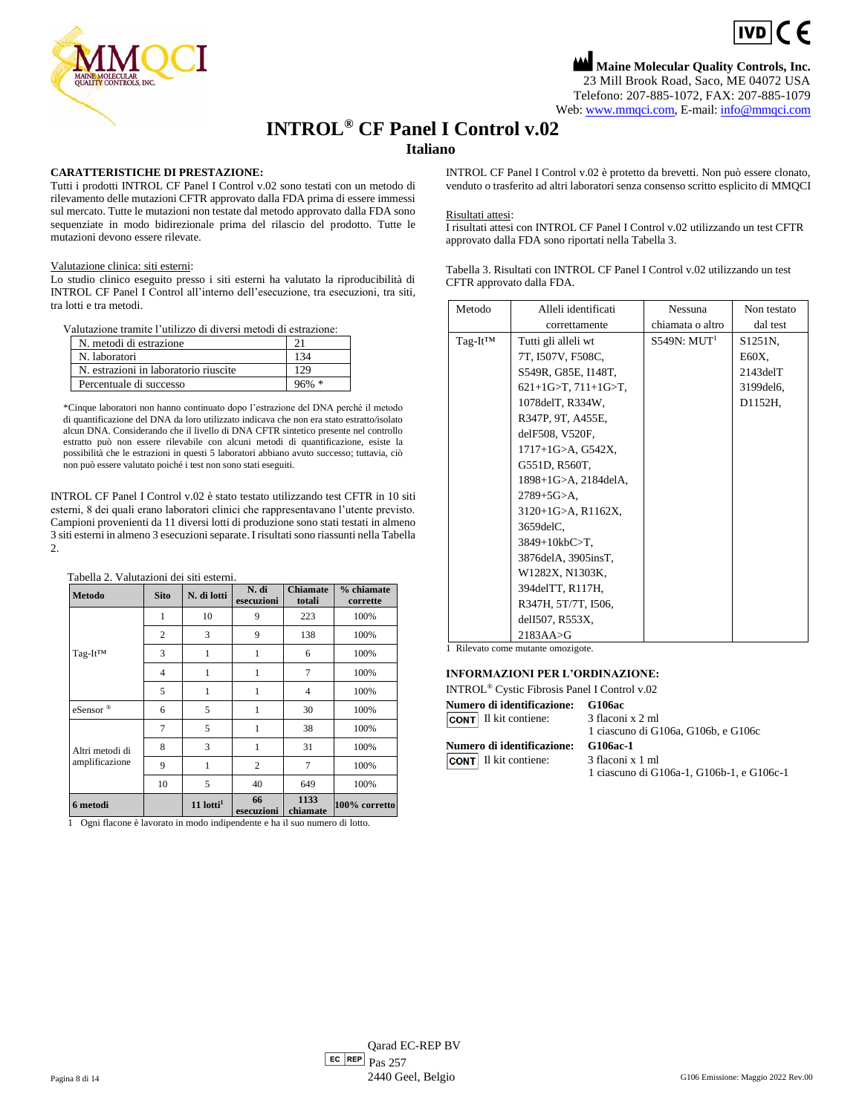$IVD$   $C$   $F$ **Maine Molecular Quality Controls, Inc.**



23 Mill Brook Road, Saco, ME 04072 USA Telefono: 207-885-1072, FAX: 207-885-1079 Web[: www.mmqci.com,](file://///FS1/Common/Company/CE%20Marking/G106ac/Translation/Translation%20Recieved%200.5.12.2022/www.mmqci.com) E-mail: [info@mmqci.com](mailto:info@mmqci.com)

# **INTROL® CF Panel I Control v.02**

## **Italiano**

## **CARATTERISTICHE DI PRESTAZIONE:**

Tutti i prodotti INTROL CF Panel I Control v.02 sono testati con un metodo di rilevamento delle mutazioni CFTR approvato dalla FDA prima di essere immessi sul mercato. Tutte le mutazioni non testate dal metodo approvato dalla FDA sono sequenziate in modo bidirezionale prima del rilascio del prodotto. Tutte le mutazioni devono essere rilevate.

#### Valutazione clinica: siti esterni:

Lo studio clinico eseguito presso i siti esterni ha valutato la riproducibilità di INTROL CF Panel I Control all'interno dell'esecuzione, tra esecuzioni, tra siti, tra lotti e tra metodi.

Valutazione tramite l'utilizzo di diversi metodi di estrazione:

| N. metodi di estrazione               |         |
|---------------------------------------|---------|
| N. laboratori                         | 134     |
| N. estrazioni in laboratorio riuscite | 129     |
| Percentuale di successo               | $96%$ * |

\*Cinque laboratori non hanno continuato dopo l'estrazione del DNA perché il metodo di quantificazione del DNA da loro utilizzato indicava che non era stato estratto/isolato alcun DNA. Considerando che il livello di DNA CFTR sintetico presente nel controllo estratto può non essere rilevabile con alcuni metodi di quantificazione, esiste la possibilità che le estrazioni in questi 5 laboratori abbiano avuto successo; tuttavia, ciò non può essere valutato poiché i test non sono stati eseguiti.

INTROL CF Panel I Control v.02 è stato testato utilizzando test CFTR in 10 siti esterni, 8 dei quali erano laboratori clinici che rappresentavano l'utente previsto. Campioni provenienti da 11 diversi lotti di produzione sono stati testati in almeno 3 siti esterni in almeno 3 esecuzioni separate. I risultati sono riassunti nella Tabella  $\mathcal{L}$ 

| Tabella 2. Valutazioni dei siti esterni. |  |  |  |
|------------------------------------------|--|--|--|
|------------------------------------------|--|--|--|

| <b>Metodo</b>                     | <b>Sito</b>    | N. di lotti             | N. di<br>esecuzioni | <b>Chiamate</b><br>totali | % chiamate<br>corrette |
|-----------------------------------|----------------|-------------------------|---------------------|---------------------------|------------------------|
|                                   | 1              | 10                      | 9                   | 223                       | 100%                   |
|                                   | $\overline{2}$ | 3                       | 9                   | 138                       | 100%                   |
| Tag-It <sup>TM</sup>              | 3              | $\mathbf{1}$            | 1                   | 6                         | 100%                   |
|                                   | $\overline{4}$ | $\mathbf{1}$            | 1                   | $\overline{7}$            | 100%                   |
|                                   | 5              | 1                       | 1                   | 4                         | 100%                   |
| eSensor®                          | 6              | 5                       | 1                   | 30                        | 100%                   |
| Altri metodi di<br>amplificazione | 7              | 5                       | 1                   | 38                        | 100%                   |
|                                   | 8              | 3                       | 1                   | 31                        | 100%                   |
|                                   | 9              | 1                       | $\overline{2}$      | 7                         | 100%                   |
|                                   | 10             | 5                       | 40                  | 649                       | 100%                   |
| 6 metodi                          |                | $11$ lotti <sup>1</sup> | 66<br>esecuzioni    | 1133<br>chiamate          | 100% corretto          |

1 Ogni flacone è lavorato in modo indipendente e ha il suo numero di lotto.

INTROL CF Panel I Control v.02 è protetto da brevetti. Non può essere clonato, venduto o trasferito ad altri laboratori senza consenso scritto esplicito di MMQCI

#### Risultati attesi:

I risultati attesi con INTROL CF Panel I Control v.02 utilizzando un test CFTR approvato dalla FDA sono riportati nella Tabella 3.

| Tabella 3. Risultati con INTROL CF Panel I Control v.02 utilizzando un test |
|-----------------------------------------------------------------------------|
| CFTR approvato dalla FDA.                                                   |

| Metodo        | Alleli identificati    | <b>Nessuna</b>          | Non testato    |
|---------------|------------------------|-------------------------|----------------|
|               | correttamente          | chiamata o altro        | dal test       |
| $Taq-It^{TM}$ | Tutti gli alleli wt    | S549N: MUT <sup>1</sup> | S1251N.        |
|               | 7T, I507V, F508C,      |                         | E60X,          |
|               | S549R, G85E, I148T,    |                         | $2143$ del $T$ |
|               | $621+1$ G>T, 711+1G>T, |                         | 3199del6,      |
|               | 1078delT, R334W,       |                         | D1152H,        |
|               | R347P, 9T, A455E,      |                         |                |
|               | delF508, V520F,        |                         |                |
|               | $1717+1$ G>A, G542X,   |                         |                |
|               | G551D, R560T,          |                         |                |
|               | 1898+1G>A, 2184delA,   |                         |                |
|               | 2789+5G>A.             |                         |                |
|               | 3120+1G>A, R1162X,     |                         |                |
|               | 3659delC,              |                         |                |
|               | $3849+10kbC>T$ ,       |                         |                |
|               | 3876delA, 3905insT,    |                         |                |
|               | W1282X, N1303K,        |                         |                |
|               | 394 del TT, R117H,     |                         |                |
|               | R347H, 5T/7T, I506,    |                         |                |
|               | delI507, R553X,        |                         |                |
|               | $2183AA \rightarrow G$ |                         |                |

1 Rilevato come mutante omozigote.

### **INFORMAZIONI PER L'ORDINAZIONE:**

| <b>Numero di identificazione:</b> | <b>G106ac</b>                             |
|-----------------------------------|-------------------------------------------|
| <b>CONT</b> Il kit contiene:      | 3 flaconi x 2 ml                          |
|                                   | 1 ciascuno di G106a, G106b, e G106c       |
| <b>Numero di identificazione:</b> | G106ac-1                                  |
| <b>CONT</b> Il kit contiene:      | 3 flaconi x 1 ml                          |
|                                   | 1 ciascuno di G106a-1, G106b-1, e G106c-1 |
|                                   |                                           |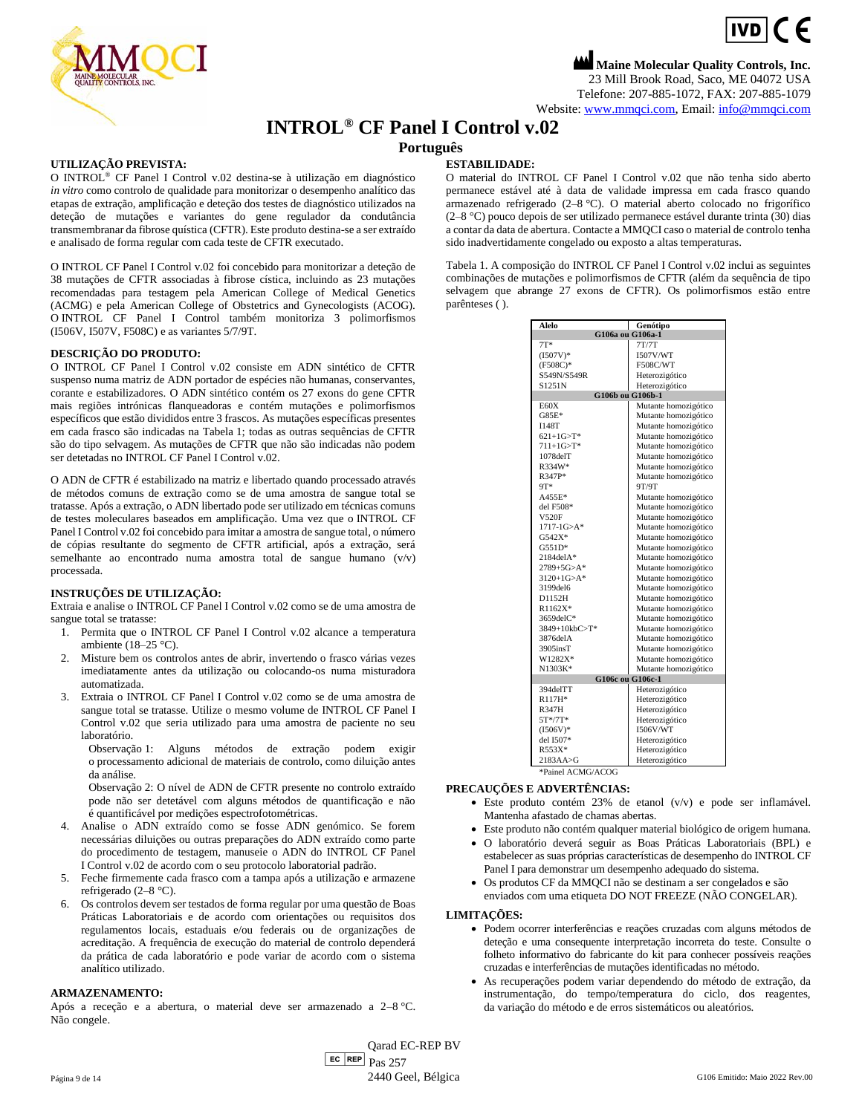

**Maine Molecular Quality Controls, Inc.** 23 Mill Brook Road, Saco, ME 04072 USA Telefone: 207-885-1072, FAX: 207-885-1079 Website: [www.mmqci.com,](file://///FS1/Common/Company/CE%20Marking/G106ac/Translation/Translation%20Recieved%200.5.12.2022/www.mmqci.com) Email[: info@mmqci.com](mailto:info@mmqci.com)

**INTROL® CF Panel I Control v.02**

### **Português**

### **UTILIZAÇÃO PREVISTA:**

O INTROL® CF Panel I Control v.02 destina-se à utilização em diagnóstico *in vitro* como controlo de qualidade para monitorizar o desempenho analítico das etapas de extração, amplificação e deteção dos testes de diagnóstico utilizados na deteção de mutações e variantes do gene regulador da condutância transmembranar da fibrose quística (CFTR). Este produto destina-se a ser extraído e analisado de forma regular com cada teste de CFTR executado.

O INTROL CF Panel I Control v.02 foi concebido para monitorizar a deteção de 38 mutações de CFTR associadas à fibrose cística, incluindo as 23 mutações recomendadas para testagem pela American College of Medical Genetics (ACMG) e pela American College of Obstetrics and Gynecologists (ACOG). O INTROL CF Panel I Control também monitoriza 3 polimorfismos (I506V, I507V, F508C) e as variantes 5/7/9T.

#### **DESCRIÇÃO DO PRODUTO:**

O INTROL CF Panel I Control v.02 consiste em ADN sintético de CFTR suspenso numa matriz de ADN portador de espécies não humanas, conservantes, corante e estabilizadores. O ADN sintético contém os 27 exons do gene CFTR mais regiões intrónicas flanqueadoras e contém mutações e polimorfismos específicos que estão divididos entre 3 frascos. As mutações específicas presentes em cada frasco são indicadas na Tabela 1; todas as outras sequências de CFTR são do tipo selvagem. As mutações de CFTR que não são indicadas não podem ser detetadas no INTROL CF Panel I Control v.02.

O ADN de CFTR é estabilizado na matriz e libertado quando processado através de métodos comuns de extração como se de uma amostra de sangue total se tratasse. Após a extração, o ADN libertado pode ser utilizado em técnicas comuns de testes moleculares baseados em amplificação. Uma vez que o INTROL CF Panel I Control v.02 foi concebido para imitar a amostra de sangue total, o número de cópias resultante do segmento de CFTR artificial, após a extração, será semelhante ao encontrado numa amostra total de sangue humano (v/v) processada.

#### **INSTRUÇÕES DE UTILIZAÇÃO:**

Extraia e analise o INTROL CF Panel I Control v.02 como se de uma amostra de sangue total se tratasse:

- 1. Permita que o INTROL CF Panel I Control v.02 alcance a temperatura ambiente (18–25 °C).
- 2. Misture bem os controlos antes de abrir, invertendo o frasco várias vezes imediatamente antes da utilização ou colocando-os numa misturadora automatizada.
- 3. Extraia o INTROL CF Panel I Control v.02 como se de uma amostra de sangue total se tratasse. Utilize o mesmo volume de INTROL CF Panel I Control v.02 que seria utilizado para uma amostra de paciente no seu laboratório.

Observação 1: Alguns métodos de extração podem exigir o processamento adicional de materiais de controlo, como diluição antes da análise.

Observação 2: O nível de ADN de CFTR presente no controlo extraído pode não ser detetável com alguns métodos de quantificação e não é quantificável por medições espectrofotométricas.

- 4. Analise o ADN extraído como se fosse ADN genómico. Se forem necessárias diluições ou outras preparações do ADN extraído como parte do procedimento de testagem, manuseie o ADN do INTROL CF Panel I Control v.02 de acordo com o seu protocolo laboratorial padrão.
- 5. Feche firmemente cada frasco com a tampa após a utilização e armazene refrigerado (2–8 °C).
- 6. Os controlos devem ser testados de forma regular por uma questão de Boas Práticas Laboratoriais e de acordo com orientações ou requisitos dos regulamentos locais, estaduais e/ou federais ou de organizações de acreditação. A frequência de execução do material de controlo dependerá da prática de cada laboratório e pode variar de acordo com o sistema analítico utilizado.

#### **ARMAZENAMENTO:**

Após a receção e a abertura, o material deve ser armazenado a 2–8 °C. Não congele.

#### **ESTABILIDADE:**

O material do INTROL CF Panel I Control v.02 que não tenha sido aberto permanece estável até à data de validade impressa em cada frasco quando armazenado refrigerado (2–8 °C). O material aberto colocado no frigorífico (2–8 °C) pouco depois de ser utilizado permanece estável durante trinta (30) dias a contar da data de abertura. Contacte a MMQCI caso o material de controlo tenha sido inadvertidamente congelado ou exposto a altas temperaturas.

Tabela 1. A composição do INTROL CF Panel I Control v.02 inclui as seguintes combinações de mutações e polimorfismos de CFTR (além da sequência de tipo selvagem que abrange 27 exons de CFTR). Os polimorfismos estão entre parênteses ( ).

| Alelo             | Genótipo             |
|-------------------|----------------------|
|                   | G106a ou G106a-1     |
| $7T*$             | 7T/7T                |
| $(I507V)$ *       | 1507V/WT             |
| $(F508C)^*$       | F508C/WT             |
| S549N/S549R       | Heterozigótico       |
| S1251N            | Heterozigótico       |
|                   | G106b ou G106b-1     |
| <b>E60X</b>       | Mutante homozigótico |
| $G85E*$           | Mutante homozigótico |
| <b>I148T</b>      | Mutante homozigótico |
| $621+1G > T^*$    | Mutante homozigótico |
| $711+1G > T^*$    | Mutante homozigótico |
| 1078delT          | Mutante homozigótico |
| R334W*            | Mutante homozigótico |
| R347P*            | Mutante homozigótico |
| 9T*               | 9T/9T                |
| A455E*            | Mutante homozigótico |
| del F508*         | Mutante homozigótico |
| V520F             | Mutante homozigótico |
| $1717 - 1G > A^*$ | Mutante homozigótico |
| $G542X*$          | Mutante homozigótico |
| $G551D*$          | Mutante homozigótico |
| $2184$ del $A^*$  | Mutante homozigótico |
| $2789 + 5G > A^*$ | Mutante homozigótico |
| $3120+1$ G>A*     | Mutante homozigótico |
| 3199del6          | Mutante homozigótico |
| D1152H            | Mutante homozigótico |
| R1162X*           | Mutante homozigótico |
| 3659delC*         | Mutante homozigótico |
| 3849+10kbC>T*     | Mutante homozigótico |
| 3876delA          | Mutante homozigótico |
| 3905insT          | Mutante homozigótico |
| W1282X*           | Mutante homozigótico |
| N1303K*           | Mutante homozigótico |
|                   | G106c ou G106c-1     |
| 394delTT          | Heterozigótico       |
| R117H*            | Heterozigótico       |
| <b>R347H</b>      | Heterozigótico       |
| $5T*/7T*$         | Heterozigótico       |
| $(I506V)$ *       | <b>I506V/WT</b>      |
| del I507*         | Heterozigótico       |
| $R553X*$          | Heterozigótico       |
| 2183AA>G          | Heterozigótico       |
| *Painel ACMG/ACOG |                      |

#### **PRECAUÇÕES E ADVERTÊNCIAS:**

- Este produto contém 23% de etanol (v/v) e pode ser inflamável. Mantenha afastado de chamas abertas.
- Este produto não contém qualquer material biológico de origem humana.
- O laboratório deverá seguir as Boas Práticas Laboratoriais (BPL) e estabelecer as suas próprias características de desempenho do INTROL CF Panel I para demonstrar um desempenho adequado do sistema.
- Os produtos CF da MMQCI não se destinam a ser congelados e são enviados com uma etiqueta DO NOT FREEZE (NÃO CONGELAR).

#### **LIMITAÇÕES:**

- Podem ocorrer interferências e reações cruzadas com alguns métodos de deteção e uma consequente interpretação incorreta do teste. Consulte o folheto informativo do fabricante do kit para conhecer possíveis reações cruzadas e interferências de mutações identificadas no método.
- As recuperações podem variar dependendo do método de extração, da instrumentação, do tempo/temperatura do ciclo, dos reagentes, da variação do método e de erros sistemáticos ou aleatórios.

 $E<sub>C</sub>$  REP  $Pas 257$ Qarad EC-REP BV Página 9 de 14  $2440$  Geel, Bélgica G106 Emitido: Maio 2022 Rev.00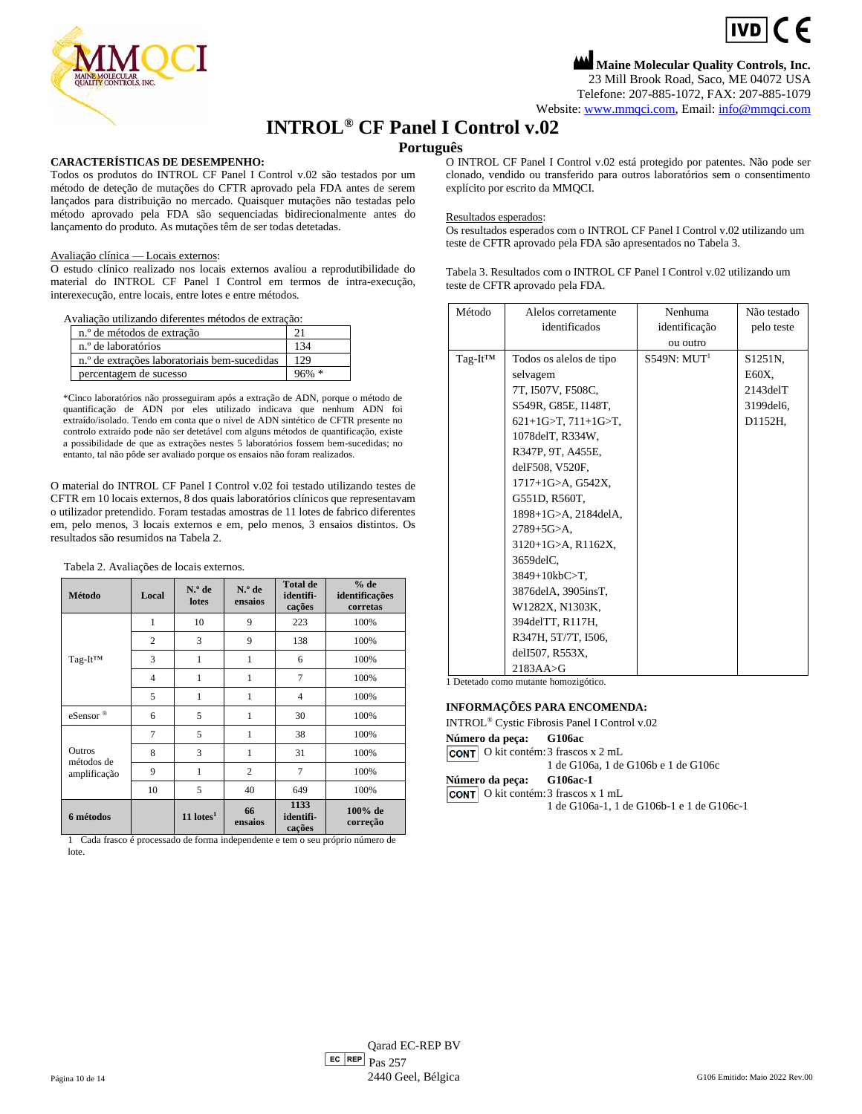$\boxed{\text{ivD}}$  (  $\in$ 

**Maine Molecular Quality Controls, Inc.** 23 Mill Brook Road, Saco, ME 04072 USA Telefone: 207-885-1072, FAX: 207-885-1079

Website: [www.mmqci.com,](file://///FS1/Common/Company/CE%20Marking/G106ac/Translation/Translation%20Recieved%200.5.12.2022/www.mmqci.com) Email[: info@mmqci.com](mailto:info@mmqci.com)

## **INTROL® CF Panel I Control v.02**

## **Português**

## **CARACTERÍSTICAS DE DESEMPENHO:**

Todos os produtos do INTROL CF Panel I Control v.02 são testados por um método de deteção de mutações do CFTR aprovado pela FDA antes de serem lançados para distribuição no mercado. Quaisquer mutações não testadas pelo método aprovado pela FDA são sequenciadas bidirecionalmente antes do lançamento do produto. As mutações têm de ser todas detetadas.

### Avaliação clínica — Locais externos:

O estudo clínico realizado nos locais externos avaliou a reprodutibilidade do material do INTROL CF Panel I Control em termos de intra-execução, interexecução, entre locais, entre lotes e entre métodos.

Avaliação utilizando diferentes métodos de extração:

| n.º de métodos de extração                               |     |
|----------------------------------------------------------|-----|
| n.º de laboratórios                                      | 134 |
| n. <sup>o</sup> de extrações laboratoriais bem-sucedidas | 129 |
| percentagem de sucesso                                   |     |

\*Cinco laboratórios não prosseguiram após a extração de ADN, porque o método de quantificação de ADN por eles utilizado indicava que nenhum ADN foi extraído/isolado. Tendo em conta que o nível de ADN sintético de CFTR presente no controlo extraído pode não ser detetável com alguns métodos de quantificação, existe a possibilidade de que as extrações nestes 5 laboratórios fossem bem-sucedidas; no entanto, tal não pôde ser avaliado porque os ensaios não foram realizados.

O material do INTROL CF Panel I Control v.02 foi testado utilizando testes de CFTR em 10 locais externos, 8 dos quais laboratórios clínicos que representavam o utilizador pretendido. Foram testadas amostras de 11 lotes de fabrico diferentes em, pelo menos, 3 locais externos e em, pelo menos, 3 ensaios distintos. Os resultados são resumidos na Tabela 2.

| Tabela 2. Avaliações de locais externos. |                |                         |                   |                                        |                                    |
|------------------------------------------|----------------|-------------------------|-------------------|----------------------------------------|------------------------------------|
| Método                                   | Local          | $N.o$ de<br>lotes       | N.º de<br>ensaios | <b>Total de</b><br>identifi-<br>cações | % de<br>identificações<br>corretas |
|                                          | 1              | 10                      | 9                 | 223                                    | 100%                               |
|                                          | $\mathfrak{2}$ | 3                       | 9                 | 138                                    | 100%                               |
| Tag-It <sup>TM</sup>                     | 3              | 1                       | 1                 | 6                                      | 100%                               |
|                                          | $\overline{4}$ | 1                       | 1                 | $\overline{7}$                         | 100%                               |
|                                          | 5              | 1                       | 1                 | $\overline{4}$                         | 100%                               |
| eSensor®                                 | 6              | 5                       | 1                 | 30                                     | 100%                               |
|                                          | 7              | 5                       | 1                 | 38                                     | 100%                               |
| Outros<br>métodos de<br>amplificação     | 8              | 3                       | 1                 | 31                                     | 100%                               |
|                                          | 9              | 1                       | $\overline{c}$    | $\overline{7}$                         | 100%                               |
|                                          | 10             | 5                       | 40                | 649                                    | 100%                               |
| 6 métodos                                |                | $11$ lotes <sup>1</sup> | 66<br>ensaios     | 1133<br>identifi-<br>cações            | 100% de<br>correção                |

1 Cada frasco é processado de forma independente e tem o seu próprio número de lote.

O INTROL CF Panel I Control v.02 está protegido por patentes. Não pode ser clonado, vendido ou transferido para outros laboratórios sem o consentimento explícito por escrito da MMQCI.

### Resultados esperados:

Os resultados esperados com o INTROL CF Panel I Control v.02 utilizando um teste de CFTR aprovado pela FDA são apresentados no Tabela 3.

Tabela 3. Resultados com o INTROL CF Panel I Control v.02 utilizando um teste de CFTR aprovado pela FDA.

| Método               | Alelos corretamente          | Nenhuma                 | Não testado          |
|----------------------|------------------------------|-------------------------|----------------------|
|                      | identificados                | identificação           | pelo teste           |
|                      |                              | ou outro                |                      |
| Tag-It <sup>TM</sup> | Todos os alelos de tipo      | S549N: MUT <sup>1</sup> | S <sub>1251</sub> N, |
|                      | selvagem                     |                         | E60X,                |
|                      | 7T, I507V, F508C,            |                         | $2143$ del $T$       |
|                      | S549R, G85E, I148T,          |                         | 3199del6,            |
|                      | 621+1G>T, 711+1G>T,          |                         | D1152H,              |
|                      | 1078 del T, R334W,           |                         |                      |
|                      | R347P, 9T, A455E,            |                         |                      |
|                      | delF508, V520F,              |                         |                      |
|                      | $1717+1$ G $>A$ , G $542X$ , |                         |                      |
|                      | G551D, R560T,                |                         |                      |
|                      | 1898+1G>A, 2184delA,         |                         |                      |
|                      | $2789 + 5G > A$ ,            |                         |                      |
|                      | $3120+1$ G>A, R1162X,        |                         |                      |
|                      | 3659delC.                    |                         |                      |
|                      | 3849+10kbC>T,                |                         |                      |
|                      | 3876delA, 3905insT,          |                         |                      |
|                      | W1282X, N1303K,              |                         |                      |
|                      | 394delTT, R117H,             |                         |                      |
|                      | R347H, 5T/7T, I506,          |                         |                      |
|                      | delI507, R553X,              |                         |                      |
|                      | $2183AA \rightarrow G$       |                         |                      |

1 Detetado como mutante homozigótico.

#### **INFORMAÇÕES PARA ENCOMENDA:**

INTROL® Cystic Fibrosis Panel I Control v.02

**Número da peça: G106ac**

**CONT** O kit contém: 3 frascos x 2 mL

1 de G106a, 1 de G106b e 1 de G106c

| Número da peça: |  | G106ac-1 |
|-----------------|--|----------|
|                 |  |          |

| <b>CONT</b> O kit contém: 3 frascos x 1 mL |
|--------------------------------------------|
| 1 de G106a-1, 1 de G106b-1 e 1 de G106c-1  |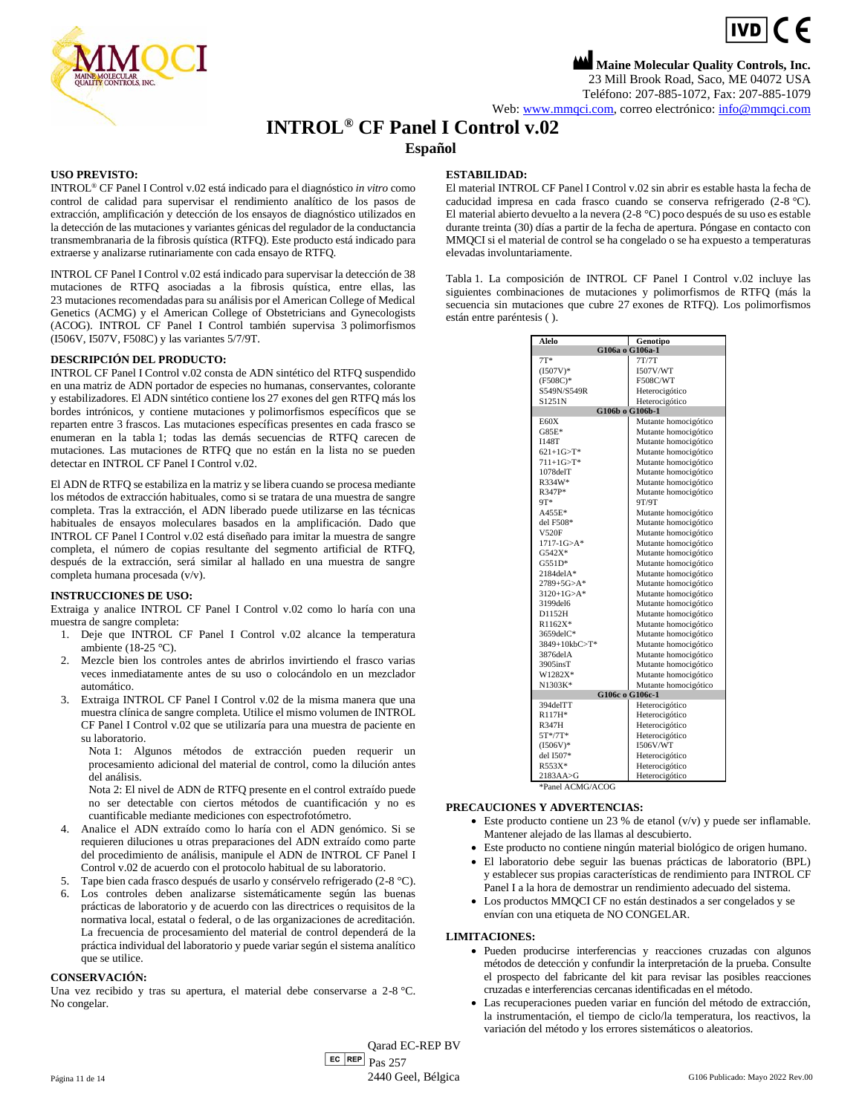

**Maine Molecular Quality Controls, Inc.** 23 Mill Brook Road, Saco, ME 04072 USA Teléfono: 207-885-1072, Fax: 207-885-1079

Web[: www.mmqci.com,](file://///FS1/Common/Company/CE%20Marking/G106ac/Translation/Translation%20Recieved%200.5.12.2022/www.mmqci.com) correo electrónico[: info@mmqci.com](mailto:info@mmqci.com)

## **INTROL® CF Panel I Control v.02**

### **Español**

#### **USO PREVISTO:**

INTROL® CF Panel I Control v.02 está indicado para el diagnóstico *in vitro* como control de calidad para supervisar el rendimiento analítico de los pasos de extracción, amplificación y detección de los ensayos de diagnóstico utilizados en la detección de las mutaciones y variantes génicas del regulador de la conductancia transmembranaria de la fibrosis quística (RTFQ). Este producto está indicado para extraerse y analizarse rutinariamente con cada ensayo de RTFQ.

INTROL CF Panel I Control v.02 está indicado para supervisar la detección de 38 mutaciones de RTFQ asociadas a la fibrosis quística, entre ellas, las 23 mutaciones recomendadas para su análisis por el American College of Medical Genetics (ACMG) y el American College of Obstetricians and Gynecologists (ACOG). INTROL CF Panel I Control también supervisa 3 polimorfismos (I506V, I507V, F508C) y las variantes 5/7/9T.

#### **DESCRIPCIÓN DEL PRODUCTO:**

INTROL CF Panel I Control v.02 consta de ADN sintético del RTFQ suspendido en una matriz de ADN portador de especies no humanas, conservantes, colorante y estabilizadores. El ADN sintético contiene los 27 exones del gen RTFQ más los bordes intrónicos, y contiene mutaciones y polimorfismos específicos que se reparten entre 3 frascos. Las mutaciones específicas presentes en cada frasco se enumeran en la tabla 1; todas las demás secuencias de RTFQ carecen de mutaciones. Las mutaciones de RTFQ que no están en la lista no se pueden detectar en INTROL CF Panel I Control v.02.

El ADN de RTFQ se estabiliza en la matriz y se libera cuando se procesa mediante los métodos de extracción habituales, como si se tratara de una muestra de sangre completa. Tras la extracción, el ADN liberado puede utilizarse en las técnicas habituales de ensayos moleculares basados en la amplificación. Dado que INTROL CF Panel I Control v.02 está diseñado para imitar la muestra de sangre completa, el número de copias resultante del segmento artificial de RTFQ, después de la extracción, será similar al hallado en una muestra de sangre completa humana procesada (v/v).

#### **INSTRUCCIONES DE USO:**

Extraiga y analice INTROL CF Panel I Control v.02 como lo haría con una muestra de sangre completa:

- 1. Deje que INTROL CF Panel I Control v.02 alcance la temperatura ambiente (18-25 °C).
- 2. Mezcle bien los controles antes de abrirlos invirtiendo el frasco varias veces inmediatamente antes de su uso o colocándolo en un mezclador automático.
- 3. Extraiga INTROL CF Panel I Control v.02 de la misma manera que una muestra clínica de sangre completa. Utilice el mismo volumen de INTROL CF Panel I Control v.02 que se utilizaría para una muestra de paciente en su laboratorio.

Nota 1: Algunos métodos de extracción pueden requerir un procesamiento adicional del material de control, como la dilución antes del análisis.

Nota 2: El nivel de ADN de RTFQ presente en el control extraído puede no ser detectable con ciertos métodos de cuantificación y no es cuantificable mediante mediciones con espectrofotómetro.

- 4. Analice el ADN extraído como lo haría con el ADN genómico. Si se requieren diluciones u otras preparaciones del ADN extraído como parte del procedimiento de análisis, manipule el ADN de INTROL CF Panel I Control v.02 de acuerdo con el protocolo habitual de su laboratorio.
- 5. Tape bien cada frasco después de usarlo y consérvelo refrigerado (2-8 °C).
- 6. Los controles deben analizarse sistemáticamente según las buenas prácticas de laboratorio y de acuerdo con las directrices o requisitos de la normativa local, estatal o federal, o de las organizaciones de acreditación. La frecuencia de procesamiento del material de control dependerá de la práctica individual del laboratorio y puede variar según el sistema analítico que se utilice.

#### **CONSERVACIÓN:**

Una vez recibido y tras su apertura, el material debe conservarse a 2-8 °C. No congelar.

#### **ESTABILIDAD:**

El material INTROL CF Panel I Control v.02 sin abrir es estable hasta la fecha de caducidad impresa en cada frasco cuando se conserva refrigerado (2-8 °C). El material abierto devuelto a la nevera (2-8 °C) poco después de su uso es estable durante treinta (30) días a partir de la fecha de apertura. Póngase en contacto con MMQCI si el material de control se ha congelado o se ha expuesto a temperaturas elevadas involuntariamente.

Tabla 1. La composición de INTROL CF Panel I Control v.02 incluye las siguientes combinaciones de mutaciones y polimorfismos de RTFQ (más la secuencia sin mutaciones que cubre 27 exones de RTFQ). Los polimorfismos están entre paréntesis ( ).

| Alelo             | Genotipo             |  |  |
|-------------------|----------------------|--|--|
| G106a o G106a-1   |                      |  |  |
| $7T*$             | 7T/7T                |  |  |
| $(1507V)^*$       | 1507V/WT             |  |  |
| $(F508C)^*$       | <b>F508C/WT</b>      |  |  |
| S549N/S549R       | Heterocigótico       |  |  |
| S1251N            | Heterocigótico       |  |  |
| G106b o G106b-1   |                      |  |  |
| E60X              | Mutante homocigótico |  |  |
| $G85E*$           | Mutante homocigótico |  |  |
| <b>I148T</b>      | Mutante homocigótico |  |  |
| $621+1G > T^*$    | Mutante homocigótico |  |  |
| $711+1G > T^*$    | Mutante homocigótico |  |  |
| 1078delT          | Mutante homocigótico |  |  |
| R334W*            | Mutante homocigótico |  |  |
| R347P*            | Mutante homocigótico |  |  |
| 9T*               | 9T/9T                |  |  |
| A455E*            | Mutante homocigótico |  |  |
| del $F508*$       | Mutante homocigótico |  |  |
| V520F             | Mutante homocigótico |  |  |
| $1717 - 1G > A^*$ | Mutante homocigótico |  |  |
| $G542X*$          | Mutante homocigótico |  |  |
| $G551D*$          | Mutante homocigótico |  |  |
| $2184$ del $A*$   | Mutante homocigótico |  |  |
| 2789+5G>A*        | Mutante homocigótico |  |  |
| $3120+1$ G>A*     | Mutante homocigótico |  |  |
| 3199del6          | Mutante homocigótico |  |  |
| D1152H            | Mutante homocigótico |  |  |
| R1162X*           | Mutante homocigótico |  |  |
| 3659delC*         | Mutante homocigótico |  |  |
| 3849+10kbC>T*     | Mutante homocigótico |  |  |
| 3876delA          | Mutante homocigótico |  |  |
| 3905insT          | Mutante homocigótico |  |  |
| W1282X*           | Mutante homocigótico |  |  |
| N1303K*           | Mutante homocigótico |  |  |
| G106c o G106c-1   |                      |  |  |
| 394delTT          | Heterocigótico       |  |  |
| R117H*            | Heterocigótico       |  |  |
| <b>R347H</b>      | Heterocigótico       |  |  |
| $5T*/7T*$         | Heterocigótico       |  |  |
| $(I506V)$ *       | <b>I506V/WT</b>      |  |  |
| del I507*         | Heterocigótico       |  |  |
| R553X*            | Heterocigótico       |  |  |
| 2183AA>G          | Heterocigótico       |  |  |
| *Panel ACMG/ACOG  |                      |  |  |

#### **PRECAUCIONES Y ADVERTENCIAS:**

- Este producto contiene un 23 % de etanol (v/v) y puede ser inflamable. Mantener alejado de las llamas al descubierto.
- Este producto no contiene ningún material biológico de origen humano.
- El laboratorio debe seguir las buenas prácticas de laboratorio (BPL) y establecer sus propias características de rendimiento para INTROL CF Panel I a la hora de demostrar un rendimiento adecuado del sistema.
- Los productos MMQCI CF no están destinados a ser congelados y se envían con una etiqueta de NO CONGELAR.

#### **LIMITACIONES:**

- Pueden producirse interferencias y reacciones cruzadas con algunos métodos de detección y confundir la interpretación de la prueba. Consulte el prospecto del fabricante del kit para revisar las posibles reacciones cruzadas e interferencias cercanas identificadas en el método.
- Las recuperaciones pueden variar en función del método de extracción, la instrumentación, el tiempo de ciclo/la temperatura, los reactivos, la variación del método y los errores sistemáticos o aleatorios.

 $E<sub>C</sub>$  REP  $Pas 257$ Qarad EC-REP BV Página 11 de 14 614 computer de 14 de 14 de 14 de 14 de 14 de 15 de 161 de 161 de 161 de 161 de 161 de 161 de 161 de 161 de 161 de 161 de 161 de 161 de 161 de 161 de 161 de 161 de 161 de 161 de 161 de 161 de 161 de 161 de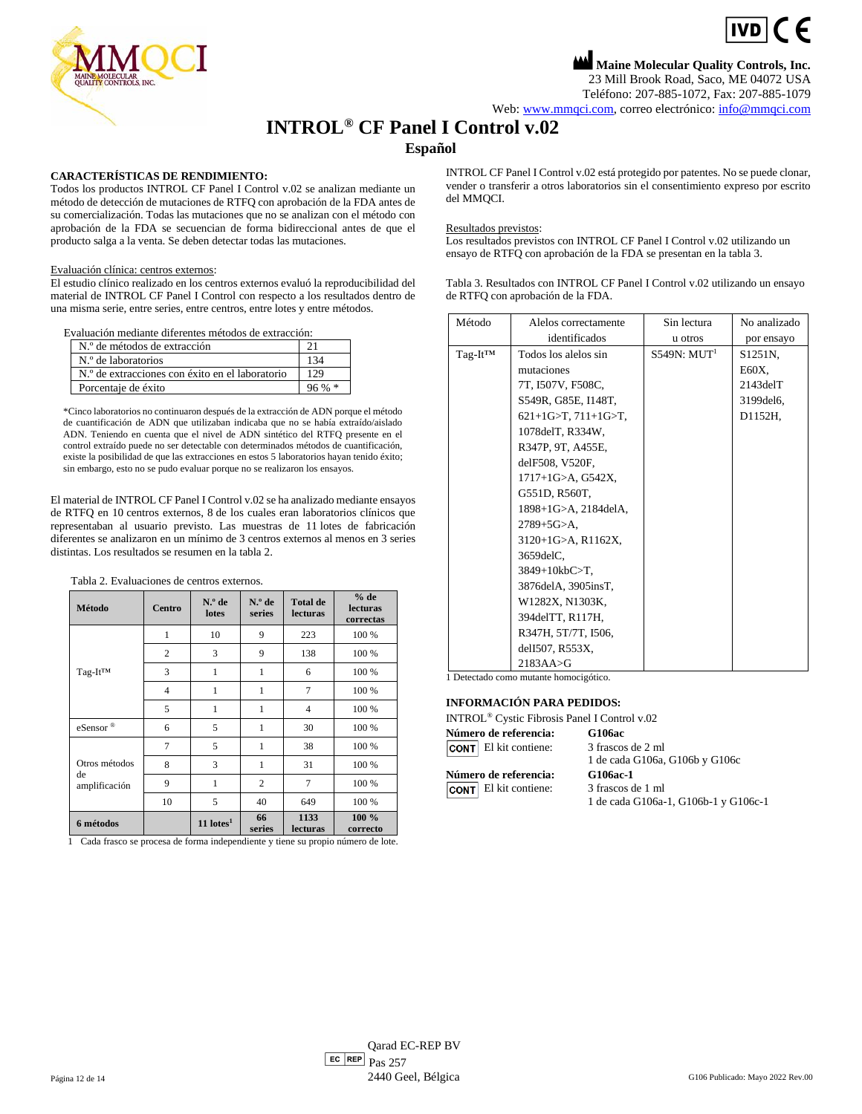

**Maine Molecular Quality Controls, Inc.** 23 Mill Brook Road, Saco, ME 04072 USA Teléfono: 207-885-1072, Fax: 207-885-1079

Web[: www.mmqci.com,](file://///FS1/Common/Company/CE%20Marking/G106ac/Translation/Translation%20Recieved%200.5.12.2022/www.mmqci.com) correo electrónico[: info@mmqci.com](mailto:info@mmqci.com)

## **INTROL® CF Panel I Control v.02**

## **Español**

### **CARACTERÍSTICAS DE RENDIMIENTO:**

Todos los productos INTROL CF Panel I Control v.02 se analizan mediante un método de detección de mutaciones de RTFQ con aprobación de la FDA antes de su comercialización. Todas las mutaciones que no se analizan con el método con aprobación de la FDA se secuencian de forma bidireccional antes de que el producto salga a la venta. Se deben detectar todas las mutaciones.

#### Evaluación clínica: centros externos:

El estudio clínico realizado en los centros externos evaluó la reproducibilidad del material de INTROL CF Panel I Control con respecto a los resultados dentro de una misma serie, entre series, entre centros, entre lotes y entre métodos.

Evaluación mediante diferentes métodos de extracción:

| N.º de métodos de extracción                    |          |
|-------------------------------------------------|----------|
| N.º de laboratorios                             | 134      |
| N.º de extracciones con éxito en el laboratorio | 129      |
| Porcentaje de éxito                             | $96\% *$ |

\*Cinco laboratorios no continuaron después de la extracción de ADN porque el método de cuantificación de ADN que utilizaban indicaba que no se había extraído/aislado ADN. Teniendo en cuenta que el nivel de ADN sintético del RTFQ presente en el control extraído puede no ser detectable con determinados métodos de cuantificación, existe la posibilidad de que las extracciones en estos 5 laboratorios hayan tenido éxito; sin embargo, esto no se pudo evaluar porque no se realizaron los ensayos.

El material de INTROL CF Panel I Control v.02 se ha analizado mediante ensayos de RTFQ en 10 centros externos, 8 de los cuales eran laboratorios clínicos que representaban al usuario previsto. Las muestras de 11 lotes de fabricación diferentes se analizaron en un mínimo de 3 centros externos al menos en 3 series distintas. Los resultados se resumen en la tabla 2.

Tabla 2. Evaluaciones de centros externos.

| Método                               | Centro         | $N°$ de<br>lotes        | $No$ de<br>series | <b>Total de</b><br><b>lecturas</b> | $%$ de<br><b>lecturas</b><br>correctas |
|--------------------------------------|----------------|-------------------------|-------------------|------------------------------------|----------------------------------------|
|                                      | $\mathbf{1}$   | 10                      | 9                 | 223                                | 100 %                                  |
|                                      | $\mathfrak{2}$ | 3                       | 9                 | 138                                | 100 %                                  |
| Tag-It <sup>TM</sup>                 | 3              | 1                       | 1                 | 6                                  | 100 %                                  |
|                                      | $\overline{4}$ | 1                       | 1                 | 7                                  | 100 %                                  |
|                                      | 5              | 1                       | 1                 | $\overline{4}$                     | 100 %                                  |
| eSensor®                             | 6              | 5                       | $\mathbf{1}$      | 30                                 | 100 %                                  |
|                                      | $\overline{7}$ | 5                       | 1                 | 38                                 | 100 %                                  |
| Otros métodos<br>de<br>amplificación | 8              | 3                       | 1                 | 31                                 | 100 %                                  |
|                                      | 9              | 1                       | $\overline{2}$    | 7                                  | 100 %                                  |
|                                      | 10             | 5                       | 40                | 649                                | 100 %                                  |
| 6 métodos                            |                | $11$ lotes <sup>1</sup> | 66<br>series      | 1133<br><b>lecturas</b>            | 100 %<br>correcto                      |

1 Cada frasco se procesa de forma independiente y tiene su propio número de lote.

INTROL CF Panel I Control v.02 está protegido por patentes. No se puede clonar, vender o transferir a otros laboratorios sin el consentimiento expreso por escrito del MMQCI.

#### Resultados previstos:

Los resultados previstos con INTROL CF Panel I Control v.02 utilizando un ensayo de RTFQ con aprobación de la FDA se presentan en la tabla 3.

Tabla 3. Resultados con INTROL CF Panel I Control v.02 utilizando un ensayo de RTFQ con aprobación de la FDA.

| Método  | Alelos correctamente         | Sin lectura             | No analizado         |
|---------|------------------------------|-------------------------|----------------------|
|         | identificados                | u otros                 | por ensayo           |
| Tag-It™ | Todos los alelos sin         | S549N: MIT <sup>1</sup> | S <sub>1251</sub> N. |
|         | mutaciones                   |                         | E60X.                |
|         | 7T, I507V, F508C,            |                         | $2143$ del $T$       |
|         | S549R, G85E, I148T,          |                         | 3199 del 6,          |
|         | $621+1G>T$ , $711+1G>T$ ,    |                         | D1152H,              |
|         | 1078delT, R334W,             |                         |                      |
|         | R347P, 9T, A455E,            |                         |                      |
|         | delF508, V520F,              |                         |                      |
|         | $1717+1$ G $>A$ , G $542X$ , |                         |                      |
|         | G551D, R560T,                |                         |                      |
|         | 1898+1G>A, 2184delA,         |                         |                      |
|         | $2789 + 5G > A$ .            |                         |                      |
|         | 3120+1G>A, R1162X,           |                         |                      |
|         | 3659delC,                    |                         |                      |
|         | 3849+10kbC>T,                |                         |                      |
|         | 3876delA, 3905insT,          |                         |                      |
|         | W1282X, N1303K,              |                         |                      |
|         | 394delTT, R117H,             |                         |                      |
|         | R347H, 5T/7T, I506,          |                         |                      |
|         | delI507, R553X,              |                         |                      |
|         | $2183AA \rightarrow G$       |                         |                      |

1 Detectado como mutante homocigótico.

#### **INFORMACIÓN PARA PEDIDOS:**

| Número de referencia:        | <b>G106ac</b>                        |
|------------------------------|--------------------------------------|
| <b>CONT</b> El kit contiene: | 3 frascos de 2 ml                    |
|                              | 1 de cada G106a, G106b y G106c       |
| Número de referencia:        | G106ac-1                             |
| <b>CONT</b> El kit contiene: | 3 frascos de 1 ml                    |
|                              | 1 de cada G106a-1, G106b-1 y G106c-1 |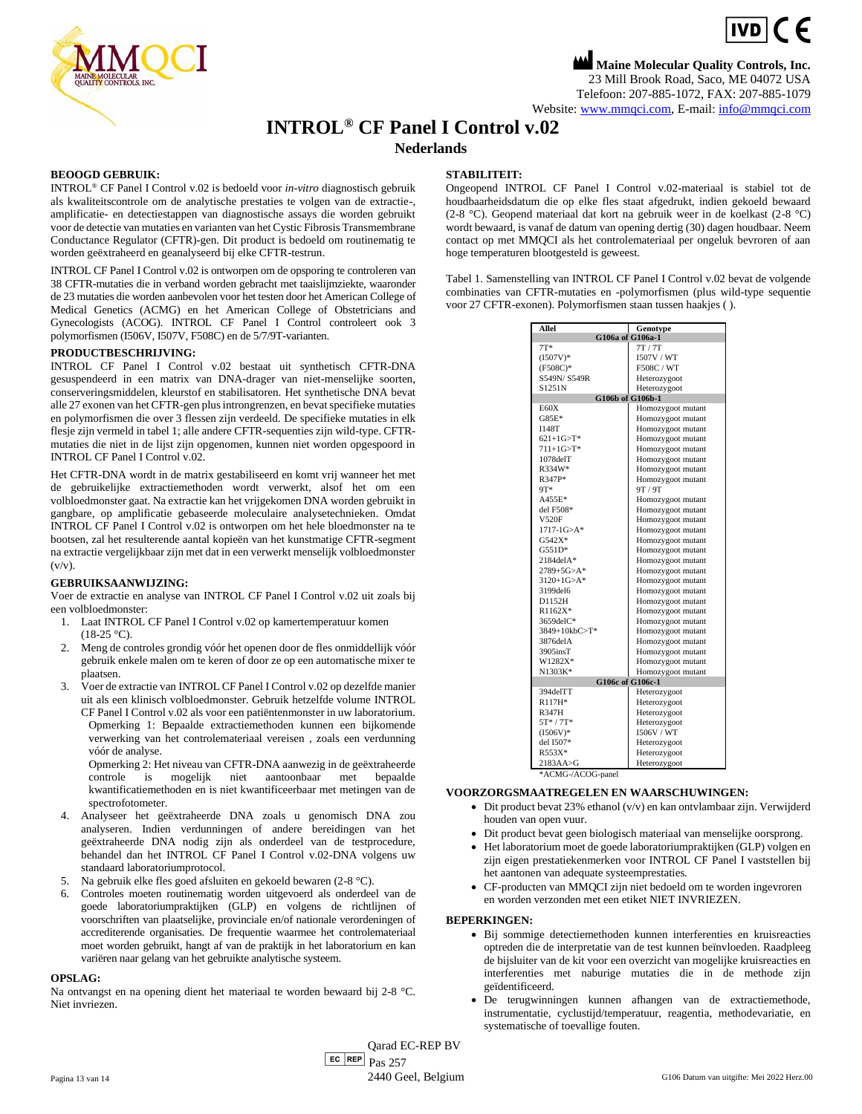

**Maine Molecular Quality Controls, Inc.** 23 Mill Brook Road, Saco, ME 04072 USA Telefoon: 207-885-1072, FAX: 207-885-1079 Website[: www.mmqci.com,](file://///FS1/Common/Company/CE%20Marking/G106ac/Translation/Translation%20Recieved%200.5.12.2022/www.mmqci.com) E-mail[: info@mmqci.com](mailto:info@mmqci.com)

## **INTROL® CF Panel I Control v.02**

**Nederlands**

#### **BEOOGD GEBRUIK:**

INTROL® CF Panel I Control v.02 is bedoeld voor *in-vitro* diagnostisch gebruik als kwaliteitscontrole om de analytische prestaties te volgen van de extractie-, amplificatie- en detectiestappen van diagnostische assays die worden gebruikt voor de detectie van mutaties en varianten van het Cystic Fibrosis Transmembrane Conductance Regulator (CFTR)-gen. Dit product is bedoeld om routinematig te worden geëxtraheerd en geanalyseerd bij elke CFTR-testrun.

INTROL CF Panel I Control v.02 is ontworpen om de opsporing te controleren van 38 CFTR-mutaties die in verband worden gebracht met taaislijmziekte, waaronder de 23 mutaties die worden aanbevolen voor het testen door het American College of Medical Genetics (ACMG) en het American College of Obstetricians and Gynecologists (ACOG). INTROL CF Panel I Control controleert ook 3 polymorfismen (I506V, I507V, F508C) en de 5/7/9T-varianten.

#### **PRODUCTBESCHRIJVING:**

INTROL CF Panel I Control v.02 bestaat uit synthetisch CFTR-DNA gesuspendeerd in een matrix van DNA-drager van niet-menselijke soorten, conserveringsmiddelen, kleurstof en stabilisatoren. Het synthetische DNA bevat alle 27 exonen van het CFTR-gen plus introngrenzen, en bevat specifieke mutaties en polymorfismen die over 3 flessen zijn verdeeld. De specifieke mutaties in elk flesje zijn vermeld in tabel 1; alle andere CFTR-sequenties zijn wild-type. CFTRmutaties die niet in de lijst zijn opgenomen, kunnen niet worden opgespoord in INTROL CF Panel I Control v.02.

Het CFTR-DNA wordt in de matrix gestabiliseerd en komt vrij wanneer het met de gebruikelijke extractiemethoden wordt verwerkt, alsof het om een volbloedmonster gaat. Na extractie kan het vrijgekomen DNA worden gebruikt in gangbare, op amplificatie gebaseerde moleculaire analysetechnieken. Omdat INTROL CF Panel I Control v.02 is ontworpen om het hele bloedmonster na te bootsen, zal het resulterende aantal kopieën van het kunstmatige CFTR-segment na extractie vergelijkbaar zijn met dat in een verwerkt menselijk volbloedmonster  $(v/v)$ .

#### **GEBRUIKSAANWIJZING:**

Voer de extractie en analyse van INTROL CF Panel I Control v.02 uit zoals bij een volbloedmonster:

- 1. Laat INTROL CF Panel I Control v.02 op kamertemperatuur komen  $(18-25 °C)$ .
- 2. Meng de controles grondig vóór het openen door de fles onmiddellijk vóór gebruik enkele malen om te keren of door ze op een automatische mixer te plaatsen.
- 3. Voer de extractie van INTROL CF Panel I Control v.02 op dezelfde manier uit als een klinisch volbloedmonster. Gebruik hetzelfde volume INTROL CF Panel I Control v.02 als voor een patiëntenmonster in uw laboratorium. Opmerking 1: Bepaalde extractiemethoden kunnen een bijkomende verwerking van het controlemateriaal vereisen , zoals een verdunning vóór de analyse.

Opmerking 2: Het niveau van CFTR-DNA aanwezig in de geëxtraheerde controle is mogelijk niet aantoonbaar met bepaalde kwantificatiemethoden en is niet kwantificeerbaar met metingen van de spectrofotometer.

- 4. Analyseer het geëxtraheerde DNA zoals u genomisch DNA zou analyseren. Indien verdunningen of andere bereidingen van het geëxtraheerde DNA nodig zijn als onderdeel van de testprocedure, behandel dan het INTROL CF Panel I Control v.02-DNA volgens uw standaard laboratoriumprotocol.
- 5. Na gebruik elke fles goed afsluiten en gekoeld bewaren (2-8 °C).
- 6. Controles moeten routinematig worden uitgevoerd als onderdeel van de goede laboratoriumpraktijken (GLP) en volgens de richtlijnen of voorschriften van plaatselijke, provinciale en/of nationale verordeningen of accrediterende organisaties. De frequentie waarmee het controlemateriaal moet worden gebruikt, hangt af van de praktijk in het laboratorium en kan variëren naar gelang van het gebruikte analytische systeem.

#### **OPSLAG:**

Na ontvangst en na opening dient het materiaal te worden bewaard bij 2-8 °C. Niet invriezen.

#### **STABILITEIT:**

Ongeopend INTROL CF Panel I Control v.02-materiaal is stabiel tot de houdbaarheidsdatum die op elke fles staat afgedrukt, indien gekoeld bewaard (2-8 °C). Geopend materiaal dat kort na gebruik weer in de koelkast (2-8 °C) wordt bewaard, is vanaf de datum van opening dertig (30) dagen houdbaar. Neem contact op met MMQCI als het controlemateriaal per ongeluk bevroren of aan hoge temperaturen blootgesteld is geweest.

Tabel 1. Samenstelling van INTROL CF Panel I Control v.02 bevat de volgende combinaties van CFTR-mutaties en -polymorfismen (plus wild-type sequentie voor 27 CFTR-exonen). Polymorfismen staan tussen haakjes ( ).

| Allel                  | Genotype          |  |  |
|------------------------|-------------------|--|--|
| G106a of G106a-1       |                   |  |  |
| $7T*$                  | 7T/7T             |  |  |
| $(I507V)$ *            | 1507V / WT        |  |  |
| $(F508C)^*$            | F508C / WT        |  |  |
| S549N/S549R            | Heterozygoot      |  |  |
| S1251N                 | Heterozygoot      |  |  |
| G106b of G106b-1       |                   |  |  |
| E60X                   | Homozygoot mutant |  |  |
| $G85E*$                | Homozygoot mutant |  |  |
| <b>I148T</b>           | Homozygoot mutant |  |  |
| $621+1G > T^*$         | Homozygoot mutant |  |  |
| $711+1G > T^*$         | Homozygoot mutant |  |  |
| $1078$ del $T$         | Homozygoot mutant |  |  |
| R334W*                 | Homozygoot mutant |  |  |
| R347P*                 | Homozygoot mutant |  |  |
| 9T*                    | 9T/9T             |  |  |
| A455E*                 | Homozygoot mutant |  |  |
| del F508*              | Homozygoot mutant |  |  |
| V520F                  | Homozygoot mutant |  |  |
| $1717 - 1G > A^*$      | Homozygoot mutant |  |  |
| $G542X*$               | Homozygoot mutant |  |  |
| $G551D*$               | Homozygoot mutant |  |  |
| $2184$ del $A*$        | Homozygoot mutant |  |  |
| $2789 + 5G > A^*$      | Homozygoot mutant |  |  |
| $3120+1G > A^*$        | Homozygoot mutant |  |  |
| 3199del6               | Homozygoot mutant |  |  |
| D1152H                 | Homozygoot mutant |  |  |
| R1162X*                | Homozygoot mutant |  |  |
| 3659delC*              | Homozygoot mutant |  |  |
| 3849+10kbC>T*          | Homozygoot mutant |  |  |
| 3876del A              | Homozygoot mutant |  |  |
| 3905insT               | Homozygoot mutant |  |  |
| W1282X*                | Homozygoot mutant |  |  |
| N1303K*                | Homozygoot mutant |  |  |
|                        | G106c of G106c-1  |  |  |
| 394delTT               | Heterozygoot      |  |  |
| R117H*                 | Heterozygoot      |  |  |
| <b>R347H</b>           | Heterozygoot      |  |  |
| $5T*/7T*$              | Heterozygoot      |  |  |
| $(1506V)^*$            | 1506V / WT        |  |  |
| del I507*              | Heterozygoot      |  |  |
| $R553X*$               | Heterozygoot      |  |  |
| $2183AA \rightarrow G$ | Heterozygoot      |  |  |

\*ACMG-/ACOG-panel

#### **VOORZORGSMAATREGELEN EN WAARSCHUWINGEN:**

- Dit product bevat 23% ethanol (v/v) en kan ontvlambaar zijn. Verwijderd houden van open vuur.
- Dit product bevat geen biologisch materiaal van menselijke oorsprong.
- Het laboratorium moet de goede laboratoriumpraktijken (GLP) volgen en zijn eigen prestatiekenmerken voor INTROL CF Panel I vaststellen bij het aantonen van adequate systeemprestaties.
- CF-producten van MMQCI zijn niet bedoeld om te worden ingevroren en worden verzonden met een etiket NIET INVRIEZEN.

#### **BEPERKINGEN:**

- Bij sommige detectiemethoden kunnen interferenties en kruisreacties optreden die de interpretatie van de test kunnen beïnvloeden. Raadpleeg de bijsluiter van de kit voor een overzicht van mogelijke kruisreacties en interferenties met naburige mutaties die in de methode zijn geïdentificeerd.
- De terugwinningen kunnen afhangen van de extractiemethode, instrumentatie, cyclustijd/temperatuur, reagentia, methodevariatie, en systematische of toevallige fouten.

 $E<sub>C</sub>$  REP  $Pas 257$ Qarad EC-REP BV Pagina 13 van 14 2440 Geel, Belgium G106 Datum van uitgifte: Mei 2022 Herz.00